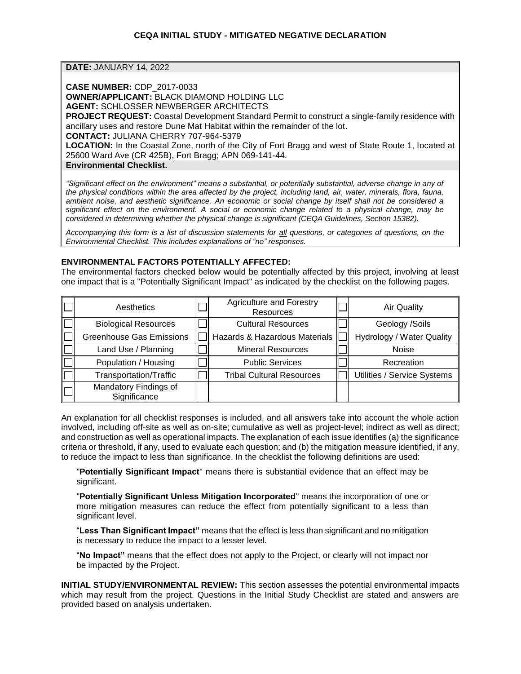**DATE:** JANUARY 14, 2022

**CASE NUMBER:** CDP\_2017-0033

**OWNER/APPLICANT:** BLACK DIAMOND HOLDING LLC

**AGENT:** SCHLOSSER NEWBERGER ARCHITECTS

**PROJECT REQUEST:** Coastal Development Standard Permit to construct a single-family residence with ancillary uses and restore Dune Mat Habitat within the remainder of the lot.

**CONTACT:** JULIANA CHERRY 707-964-5379

**LOCATION:** In the Coastal Zone, north of the City of Fort Bragg and west of State Route 1, located at 25600 Ward Ave (CR 425B), Fort Bragg; APN 069-141-44.

**Environmental Checklist.**

*"Significant effect on the environment" means a substantial, or potentially substantial, adverse change in any of the physical conditions within the area affected by the project, including land, air, water, minerals, flora, fauna, ambient noise, and aesthetic significance. An economic or social change by itself shall not be considered a significant effect on the environment. A social or economic change related to a physical change, may be considered in determining whether the physical change is significant (CEQA Guidelines, Section 15382).*

*Accompanying this form is a list of discussion statements for all questions, or categories of questions, on the Environmental Checklist. This includes explanations of "no" responses.*

# **ENVIRONMENTAL FACTORS POTENTIALLY AFFECTED:**

The environmental factors checked below would be potentially affected by this project, involving at least one impact that is a "Potentially Significant Impact" as indicated by the checklist on the following pages.

| Aesthetics                            | <b>Agriculture and Forestry</b><br>Resources | <b>Air Quality</b>          |
|---------------------------------------|----------------------------------------------|-----------------------------|
| <b>Biological Resources</b>           | <b>Cultural Resources</b>                    | Geology /Soils              |
| <b>Greenhouse Gas Emissions</b>       | Hazards & Hazardous Materials                | Hydrology / Water Quality   |
| Land Use / Planning                   | <b>Mineral Resources</b>                     | Noise                       |
| Population / Housing                  | <b>Public Services</b>                       | Recreation                  |
| <b>Transportation/Traffic</b>         | <b>Tribal Cultural Resources</b>             | Utilities / Service Systems |
| Mandatory Findings of<br>Significance |                                              |                             |

An explanation for all checklist responses is included, and all answers take into account the whole action involved, including off-site as well as on-site; cumulative as well as project-level; indirect as well as direct; and construction as well as operational impacts. The explanation of each issue identifies (a) the significance criteria or threshold, if any, used to evaluate each question; and (b) the mitigation measure identified, if any, to reduce the impact to less than significance. In the checklist the following definitions are used:

"**Potentially Significant Impact**" means there is substantial evidence that an effect may be significant.

"**Potentially Significant Unless Mitigation Incorporated**" means the incorporation of one or more mitigation measures can reduce the effect from potentially significant to a less than significant level.

"**Less Than Significant Impact"** means that the effect is less than significant and no mitigation is necessary to reduce the impact to a lesser level.

"**No Impact"** means that the effect does not apply to the Project, or clearly will not impact nor be impacted by the Project.

**INITIAL STUDY/ENVIRONMENTAL REVIEW:** This section assesses the potential environmental impacts which may result from the project. Questions in the Initial Study Checklist are stated and answers are provided based on analysis undertaken.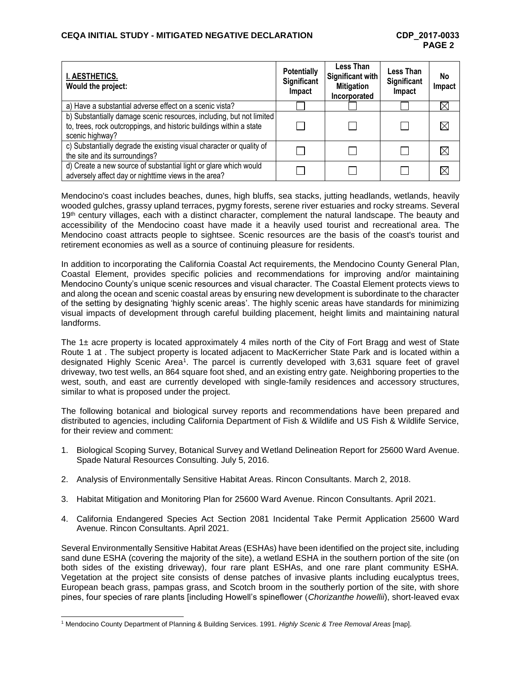| I. AESTHETICS.<br>Would the project:                                                                                                                           | <b>Potentially</b><br>Significant<br>Impact | <b>Less Than</b><br><b>Significant with</b><br><b>Mitigation</b><br>Incorporated | <b>Less Than</b><br>Significant<br>Impact | No<br>Impact |
|----------------------------------------------------------------------------------------------------------------------------------------------------------------|---------------------------------------------|----------------------------------------------------------------------------------|-------------------------------------------|--------------|
| a) Have a substantial adverse effect on a scenic vista?                                                                                                        |                                             |                                                                                  |                                           | X            |
| b) Substantially damage scenic resources, including, but not limited<br>to, trees, rock outcroppings, and historic buildings within a state<br>scenic highway? |                                             |                                                                                  |                                           | $\boxtimes$  |
| c) Substantially degrade the existing visual character or quality of<br>the site and its surroundings?                                                         |                                             |                                                                                  |                                           | $\boxtimes$  |
| d) Create a new source of substantial light or glare which would<br>adversely affect day or nighttime views in the area?                                       |                                             |                                                                                  |                                           | $\boxtimes$  |

Mendocino's coast includes beaches, dunes, high bluffs, sea stacks, jutting headlands, wetlands, heavily wooded gulches, grassy upland terraces, pygmy forests, serene river estuaries and rocky streams. Several 19<sup>th</sup> century villages, each with a distinct character, complement the natural landscape. The beauty and accessibility of the Mendocino coast have made it a heavily used tourist and recreational area. The Mendocino coast attracts people to sightsee. Scenic resources are the basis of the coast's tourist and retirement economies as well as a source of continuing pleasure for residents.

In addition to incorporating the California Coastal Act requirements, the Mendocino County General Plan, Coastal Element, provides specific policies and recommendations for improving and/or maintaining Mendocino County's unique scenic resources and visual character. The Coastal Element protects views to and along the ocean and scenic coastal areas by ensuring new development is subordinate to the character of the setting by designating 'highly scenic areas'. The highly scenic areas have standards for minimizing visual impacts of development through careful building placement, height limits and maintaining natural landforms.

The 1± acre property is located approximately 4 miles north of the City of Fort Bragg and west of State Route 1 at . The subject property is located adjacent to MacKerricher State Park and is located within a designated Highly Scenic Area<sup>1</sup>. The parcel is currently developed with 3,631 square feet of gravel driveway, two test wells, an 864 square foot shed, and an existing entry gate. Neighboring properties to the west, south, and east are currently developed with single-family residences and accessory structures, similar to what is proposed under the project.

The following botanical and biological survey reports and recommendations have been prepared and distributed to agencies, including California Department of Fish & Wildlife and US Fish & Wildlife Service, for their review and comment:

- 1. Biological Scoping Survey, Botanical Survey and Wetland Delineation Report for 25600 Ward Avenue. Spade Natural Resources Consulting. July 5, 2016.
- 2. Analysis of Environmentally Sensitive Habitat Areas. Rincon Consultants. March 2, 2018.
- 3. Habitat Mitigation and Monitoring Plan for 25600 Ward Avenue. Rincon Consultants. April 2021.
- 4. California Endangered Species Act Section 2081 Incidental Take Permit Application 25600 Ward Avenue. Rincon Consultants. April 2021.

Several Environmentally Sensitive Habitat Areas (ESHAs) have been identified on the project site, including sand dune ESHA (covering the majority of the site), a wetland ESHA in the southern portion of the site (on both sides of the existing driveway), four rare plant ESHAs, and one rare plant community ESHA. Vegetation at the project site consists of dense patches of invasive plants including eucalyptus trees, European beach grass, pampas grass, and Scotch broom in the southerly portion of the site, with shore pines, four species of rare plants [including Howell's spineflower (*Chorizanthe howellii*), short-leaved evax

<sup>1</sup> Mendocino County Department of Planning & Building Services. 1991. *Highly Scenic & Tree Removal Areas* [map].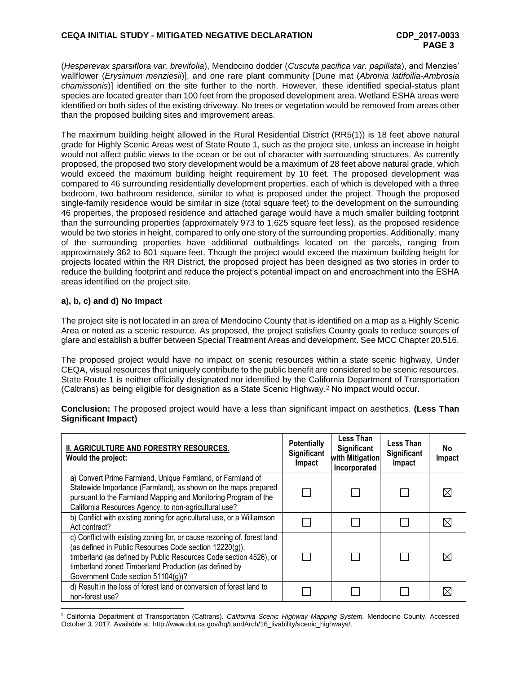(*Hesperevax sparsiflora var. brevifolia*), Mendocino dodder (*Cuscuta pacifica var. papillata*), and Menzies' wallflower (*Erysimum menziesii*)], and one rare plant community [Dune mat (*Abronia latifoilia-Ambrosia chamissonis*)] identified on the site further to the north. However, these identified special-status plant species are located greater than 100 feet from the proposed development area. Wetland ESHA areas were identified on both sides of the existing driveway. No trees or vegetation would be removed from areas other than the proposed building sites and improvement areas.

The maximum building height allowed in the Rural Residential District (RR5(1)) is 18 feet above natural grade for Highly Scenic Areas west of State Route 1, such as the project site, unless an increase in height would not affect public views to the ocean or be out of character with surrounding structures. As currently proposed, the proposed two story development would be a maximum of 28 feet above natural grade, which would exceed the maximum building height requirement by 10 feet. The proposed development was compared to 46 surrounding residentially development properties, each of which is developed with a three bedroom, two bathroom residence, similar to what is proposed under the project. Though the proposed single-family residence would be similar in size (total square feet) to the development on the surrounding 46 properties, the proposed residence and attached garage would have a much smaller building footprint than the surrounding properties (approximately 973 to 1,625 square feet less), as the proposed residence would be two stories in height, compared to only one story of the surrounding properties. Additionally, many of the surrounding properties have additional outbuildings located on the parcels, ranging from approximately 362 to 801 square feet. Though the project would exceed the maximum building height for projects located within the RR District, the proposed project has been designed as two stories in order to reduce the building footprint and reduce the project's potential impact on and encroachment into the ESHA areas identified on the project site.

# **a), b, c) and d) No Impact**

The project site is not located in an area of Mendocino County that is identified on a map as a Highly Scenic Area or noted as a scenic resource. As proposed, the project satisfies County goals to reduce sources of glare and establish a buffer between Special Treatment Areas and development. See MCC Chapter 20.516.

The proposed project would have no impact on scenic resources within a state scenic highway. Under CEQA, visual resources that uniquely contribute to the public benefit are considered to be scenic resources. State Route 1 is neither officially designated nor identified by the California Department of Transportation (Caltrans) as being eligible for designation as a State Scenic Highway.<sup>2</sup> No impact would occur.

**Conclusion:** The proposed project would have a less than significant impact on aesthetics. **(Less Than Significant Impact)**

| II. AGRICULTURE AND FORESTRY RESOURCES.<br>Would the project:                                                                                                                                                                                                                                          | <b>Potentially</b><br>Significant<br>Impact | Less Than<br>Significant<br>with Mitigation<br>Incorporated | Less Than<br>Significant<br>Impact | No.<br>Impact |
|--------------------------------------------------------------------------------------------------------------------------------------------------------------------------------------------------------------------------------------------------------------------------------------------------------|---------------------------------------------|-------------------------------------------------------------|------------------------------------|---------------|
| a) Convert Prime Farmland, Unique Farmland, or Farmland of<br>Statewide Importance (Farmland), as shown on the maps prepared<br>pursuant to the Farmland Mapping and Monitoring Program of the<br>California Resources Agency, to non-agricultural use?                                                |                                             |                                                             |                                    |               |
| b) Conflict with existing zoning for agricultural use, or a Williamson<br>Act contract?                                                                                                                                                                                                                |                                             |                                                             |                                    |               |
| c) Conflict with existing zoning for, or cause rezoning of, forest land<br>(as defined in Public Resources Code section 12220(g)),<br>timberland (as defined by Public Resources Code section 4526), or<br>timberland zoned Timberland Production (as defined by<br>Government Code section 51104(g))? |                                             |                                                             |                                    |               |
| d) Result in the loss of forest land or conversion of forest land to<br>non-forest use?                                                                                                                                                                                                                |                                             |                                                             |                                    |               |

l <sup>2</sup> California Department of Transportation (Caltrans). *California Scenic Highway Mapping System.* Mendocino County. Accessed October 3, 2017. Available at: http://www.dot.ca.gov/hq/LandArch/16\_livability/scenic\_highways/.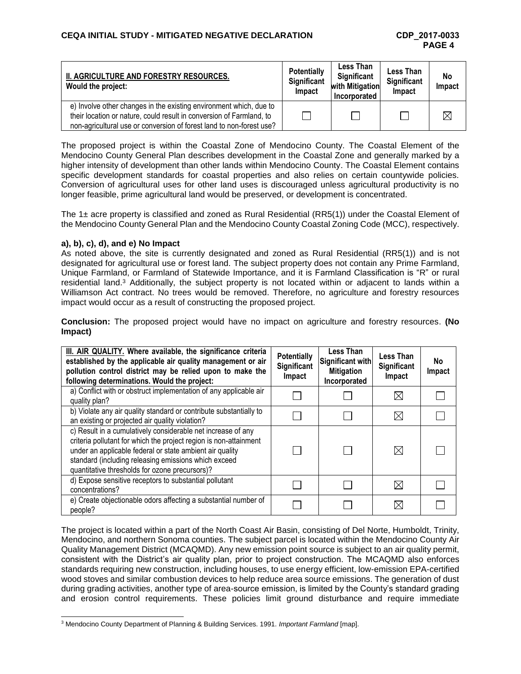| II. AGRICULTURE AND FORESTRY RESOURCES.<br>Would the project:                                                                                                                                                      | <b>Potentially</b><br>Significant<br>Impact | Less Than<br>Significant<br>with Mitigation<br>Incorporated | Less Than<br><b>Significant</b><br>Impact | No<br>Impact |
|--------------------------------------------------------------------------------------------------------------------------------------------------------------------------------------------------------------------|---------------------------------------------|-------------------------------------------------------------|-------------------------------------------|--------------|
| e) Involve other changes in the existing environment which, due to<br>their location or nature, could result in conversion of Farmland, to<br>non-agricultural use or conversion of forest land to non-forest use? |                                             |                                                             |                                           |              |

The proposed project is within the Coastal Zone of Mendocino County. The Coastal Element of the Mendocino County General Plan describes development in the Coastal Zone and generally marked by a higher intensity of development than other lands within Mendocino County. The Coastal Element contains specific development standards for coastal properties and also relies on certain countywide policies. Conversion of agricultural uses for other land uses is discouraged unless agricultural productivity is no longer feasible, prime agricultural land would be preserved, or development is concentrated.

The 1± acre property is classified and zoned as Rural Residential (RR5(1)) under the Coastal Element of the Mendocino County General Plan and the Mendocino County Coastal Zoning Code (MCC), respectively.

### **a), b), c), d), and e) No Impact**

l

As noted above, the site is currently designated and zoned as Rural Residential (RR5(1)) and is not designated for agricultural use or forest land. The subject property does not contain any Prime Farmland, Unique Farmland, or Farmland of Statewide Importance, and it is Farmland Classification is "R" or rural residential land.<sup>3</sup> Additionally, the subject property is not located within or adjacent to lands within a Williamson Act contract. No trees would be removed. Therefore, no agriculture and forestry resources impact would occur as a result of constructing the proposed project.

**Conclusion:** The proposed project would have no impact on agriculture and forestry resources. **(No Impact)**

| III. AIR QUALITY. Where available, the significance criteria<br>established by the applicable air quality management or air<br>pollution control district may be relied upon to make the<br>following determinations. Would the project:                                                                | <b>Potentially</b><br>Significant<br>Impact | Less Than<br>Significant with<br><b>Mitigation</b><br>Incorporated | <b>Less Than</b><br>Significant<br>Impact | No.<br>Impact |
|---------------------------------------------------------------------------------------------------------------------------------------------------------------------------------------------------------------------------------------------------------------------------------------------------------|---------------------------------------------|--------------------------------------------------------------------|-------------------------------------------|---------------|
| a) Conflict with or obstruct implementation of any applicable air<br>quality plan?                                                                                                                                                                                                                      |                                             |                                                                    | IX                                        |               |
| b) Violate any air quality standard or contribute substantially to<br>an existing or projected air quality violation?                                                                                                                                                                                   |                                             |                                                                    | $\boxtimes$                               |               |
| c) Result in a cumulatively considerable net increase of any<br>criteria pollutant for which the project region is non-attainment<br>under an applicable federal or state ambient air quality<br>standard (including releasing emissions which exceed<br>quantitative thresholds for ozone precursors)? |                                             |                                                                    | $\boxtimes$                               |               |
| d) Expose sensitive receptors to substantial pollutant<br>concentrations?                                                                                                                                                                                                                               |                                             |                                                                    | $\boxtimes$                               |               |
| e) Create objectionable odors affecting a substantial number of<br>people?                                                                                                                                                                                                                              |                                             |                                                                    | ⋉                                         |               |

The project is located within a part of the North Coast Air Basin, consisting of Del Norte, Humboldt, Trinity, Mendocino, and northern Sonoma counties. The subject parcel is located within the Mendocino County Air Quality Management District (MCAQMD). Any new emission point source is subject to an air quality permit, consistent with the District's air quality plan, prior to project construction. The MCAQMD also enforces standards requiring new construction, including houses, to use energy efficient, low-emission EPA-certified wood stoves and similar combustion devices to help reduce area source emissions. The generation of dust during grading activities, another type of area-source emission, is limited by the County's standard grading and erosion control requirements. These policies limit ground disturbance and require immediate

<sup>3</sup> Mendocino County Department of Planning & Building Services. 1991. *Important Farmland* [map].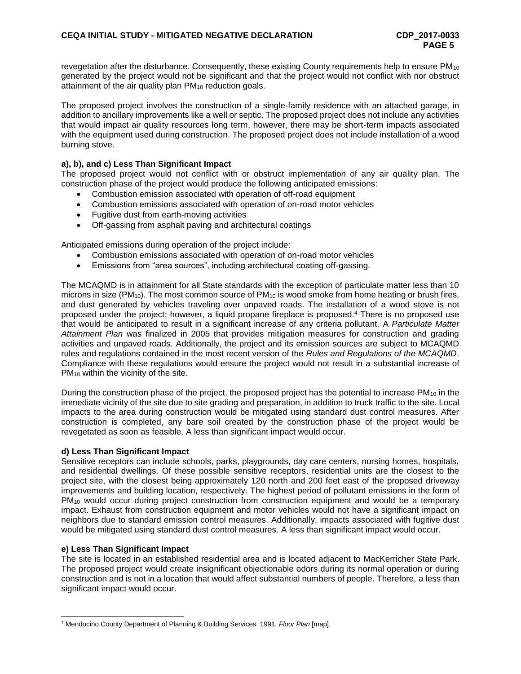revegetation after the disturbance. Consequently, these existing County requirements help to ensure PM<sub>10</sub> generated by the project would not be significant and that the project would not conflict with nor obstruct attainment of the air quality plan PM<sub>10</sub> reduction goals.

The proposed project involves the construction of a single-family residence with an attached garage, in addition to ancillary improvements like a well or septic. The proposed project does not include any activities that would impact air quality resources long term, however, there may be short-term impacts associated with the equipment used during construction. The proposed project does not include installation of a wood burning stove.

### **a), b), and c) Less Than Significant Impact**

The proposed project would not conflict with or obstruct implementation of any air quality plan. The construction phase of the project would produce the following anticipated emissions:

- Combustion emission associated with operation of off-road equipment
- Combustion emissions associated with operation of on-road motor vehicles
- Fugitive dust from earth-moving activities
- Off-gassing from asphalt paving and architectural coatings

Anticipated emissions during operation of the project include:

- Combustion emissions associated with operation of on-road motor vehicles
- Emissions from "area sources", including architectural coating off-gassing.

The MCAQMD is in attainment for all State standards with the exception of particulate matter less than 10 microns in size (PM<sub>10</sub>). The most common source of PM<sub>10</sub> is wood smoke from home heating or brush fires, and dust generated by vehicles traveling over unpaved roads. The installation of a wood stove is not proposed under the project; however, a liquid propane fireplace is proposed.<sup>4</sup> There is no proposed use that would be anticipated to result in a significant increase of any criteria pollutant. A *Particulate Matter Attainment Plan* was finalized in 2005 that provides mitigation measures for construction and grading activities and unpaved roads. Additionally, the project and its emission sources are subject to MCAQMD rules and regulations contained in the most recent version of the *Rules and Regulations of the MCAQMD*. Compliance with these regulations would ensure the project would not result in a substantial increase of  $PM_{10}$  within the vicinity of the site.

During the construction phase of the project, the proposed project has the potential to increase  $PM_{10}$  in the immediate vicinity of the site due to site grading and preparation, in addition to truck traffic to the site. Local impacts to the area during construction would be mitigated using standard dust control measures. After construction is completed, any bare soil created by the construction phase of the project would be revegetated as soon as feasible. A less than significant impact would occur.

### **d) Less Than Significant Impact**

Sensitive receptors can include schools, parks, playgrounds, day care centers, nursing homes, hospitals, and residential dwellings. Of these possible sensitive receptors, residential units are the closest to the project site, with the closest being approximately 120 north and 200 feet east of the proposed driveway improvements and building location, respectively. The highest period of pollutant emissions in the form of PM<sub>10</sub> would occur during project construction from construction equipment and would be a temporary impact. Exhaust from construction equipment and motor vehicles would not have a significant impact on neighbors due to standard emission control measures. Additionally, impacts associated with fugitive dust would be mitigated using standard dust control measures. A less than significant impact would occur.

## **e) Less Than Significant Impact**

l

The site is located in an established residential area and is located adjacent to MacKerricher State Park. The proposed project would create insignificant objectionable odors during its normal operation or during construction and is not in a location that would affect substantial numbers of people. Therefore, a less than significant impact would occur.

<sup>4</sup> Mendocino County Department of Planning & Building Services. 1991. *Floor Plan* [map].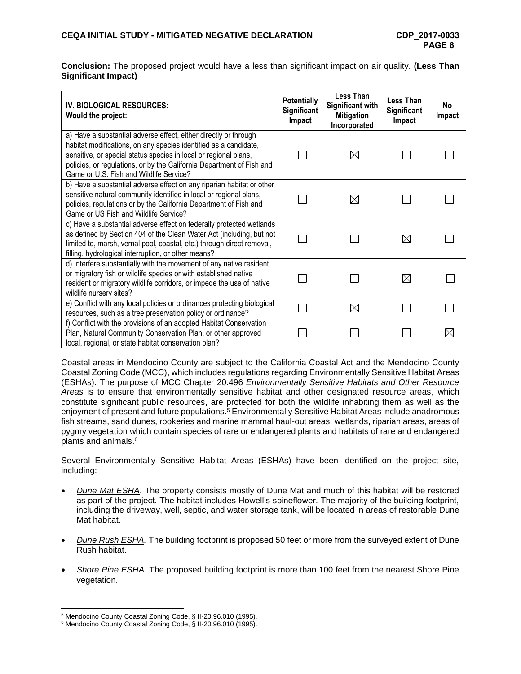**Conclusion:** The proposed project would have a less than significant impact on air quality. **(Less Than Significant Impact)**

| IV. BIOLOGICAL RESOURCES:<br>Would the project:                                                                                                                                                                                                                                                                              | <b>Potentially</b><br>Significant<br>Impact | Less Than<br><b>Significant with</b><br><b>Mitigation</b><br>Incorporated | <b>Less Than</b><br>Significant<br>Impact | No<br>Impact |
|------------------------------------------------------------------------------------------------------------------------------------------------------------------------------------------------------------------------------------------------------------------------------------------------------------------------------|---------------------------------------------|---------------------------------------------------------------------------|-------------------------------------------|--------------|
| a) Have a substantial adverse effect, either directly or through<br>habitat modifications, on any species identified as a candidate,<br>sensitive, or special status species in local or regional plans,<br>policies, or regulations, or by the California Department of Fish and<br>Game or U.S. Fish and Wildlife Service? |                                             | $\boxtimes$                                                               |                                           |              |
| b) Have a substantial adverse effect on any riparian habitat or other<br>sensitive natural community identified in local or regional plans,<br>policies, regulations or by the California Department of Fish and<br>Game or US Fish and Wildlife Service?                                                                    |                                             | $\boxtimes$                                                               |                                           |              |
| c) Have a substantial adverse effect on federally protected wetlands<br>as defined by Section 404 of the Clean Water Act (including, but not<br>limited to, marsh, vernal pool, coastal, etc.) through direct removal,<br>filling, hydrological interruption, or other means?                                                |                                             |                                                                           | $\boxtimes$                               |              |
| d) Interfere substantially with the movement of any native resident<br>or migratory fish or wildlife species or with established native<br>resident or migratory wildlife corridors, or impede the use of native<br>wildlife nursery sites?                                                                                  |                                             |                                                                           | $\boxtimes$                               |              |
| e) Conflict with any local policies or ordinances protecting biological<br>resources, such as a tree preservation policy or ordinance?                                                                                                                                                                                       |                                             | $\boxtimes$                                                               |                                           |              |
| f) Conflict with the provisions of an adopted Habitat Conservation<br>Plan, Natural Community Conservation Plan, or other approved<br>local, regional, or state habitat conservation plan?                                                                                                                                   |                                             |                                                                           |                                           | $\boxtimes$  |

Coastal areas in Mendocino County are subject to the California Coastal Act and the Mendocino County Coastal Zoning Code (MCC), which includes regulations regarding Environmentally Sensitive Habitat Areas (ESHAs). The purpose of MCC Chapter 20.496 *Environmentally Sensitive Habitats and Other Resource Areas* is to ensure that environmentally sensitive habitat and other designated resource areas, which constitute significant public resources, are protected for both the wildlife inhabiting them as well as the enjoyment of present and future populations.<sup>5</sup> Environmentally Sensitive Habitat Areas include anadromous fish streams, sand dunes, rookeries and marine mammal haul-out areas, wetlands, riparian areas, areas of pygmy vegetation which contain species of rare or endangered plants and habitats of rare and endangered plants and animals. 6

Several Environmentally Sensitive Habitat Areas (ESHAs) have been identified on the project site, including:

- *Dune Mat ESHA*. The property consists mostly of Dune Mat and much of this habitat will be restored as part of the project. The habitat includes Howell's spineflower. The majority of the building footprint, including the driveway, well, septic, and water storage tank, will be located in areas of restorable Dune Mat habitat.
- *Dune Rush ESHA.* The building footprint is proposed 50 feet or more from the surveyed extent of Dune Rush habitat.
- *Shore Pine ESHA.* The proposed building footprint is more than 100 feet from the nearest Shore Pine vegetation.

l <sup>5</sup> Mendocino County Coastal Zoning Code, § II-20.96.010 (1995).

<sup>6</sup> Mendocino County Coastal Zoning Code, § II-20.96.010 (1995).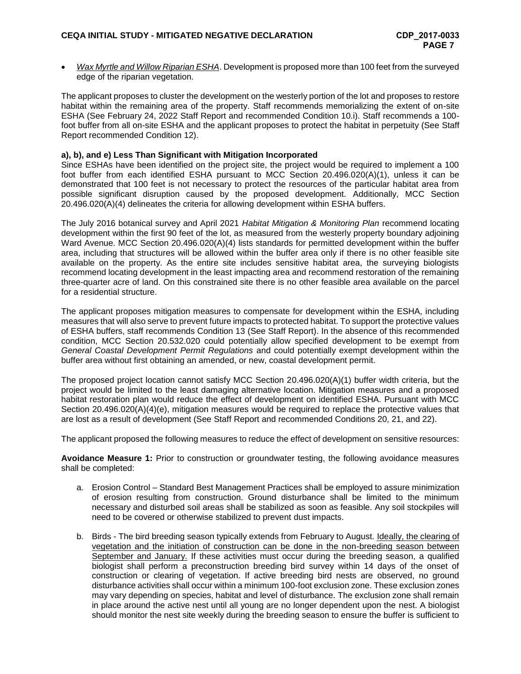*Wax Myrtle and Willow Riparian ESHA*. Development is proposed more than 100 feet from the surveyed edge of the riparian vegetation.

The applicant proposes to cluster the development on the westerly portion of the lot and proposes to restore habitat within the remaining area of the property. Staff recommends memorializing the extent of on-site ESHA (See February 24, 2022 Staff Report and recommended Condition 10.i). Staff recommends a 100 foot buffer from all on-site ESHA and the applicant proposes to protect the habitat in perpetuity (See Staff Report recommended Condition 12).

#### **a), b), and e) Less Than Significant with Mitigation Incorporated**

Since ESHAs have been identified on the project site, the project would be required to implement a 100 foot buffer from each identified ESHA pursuant to MCC Section 20.496.020(A)(1), unless it can be demonstrated that 100 feet is not necessary to protect the resources of the particular habitat area from possible significant disruption caused by the proposed development. Additionally, MCC Section 20.496.020(A)(4) delineates the criteria for allowing development within ESHA buffers.

The July 2016 botanical survey and April 2021 *Habitat Mitigation & Monitoring Plan* recommend locating development within the first 90 feet of the lot, as measured from the westerly property boundary adjoining Ward Avenue. MCC Section 20.496.020(A)(4) lists standards for permitted development within the buffer area, including that structures will be allowed within the buffer area only if there is no other feasible site available on the property. As the entire site includes sensitive habitat area, the surveying biologists recommend locating development in the least impacting area and recommend restoration of the remaining three-quarter acre of land. On this constrained site there is no other feasible area available on the parcel for a residential structure.

The applicant proposes mitigation measures to compensate for development within the ESHA, including measures that will also serve to prevent future impacts to protected habitat. To support the protective values of ESHA buffers, staff recommends Condition 13 (See Staff Report). In the absence of this recommended condition, MCC Section 20.532.020 could potentially allow specified development to be exempt from *General Coastal Development Permit Regulations* and could potentially exempt development within the buffer area without first obtaining an amended, or new, coastal development permit.

The proposed project location cannot satisfy MCC Section 20.496.020(A)(1) buffer width criteria, but the project would be limited to the least damaging alternative location. Mitigation measures and a proposed habitat restoration plan would reduce the effect of development on identified ESHA. Pursuant with MCC Section 20.496.020(A)(4)(e), mitigation measures would be required to replace the protective values that are lost as a result of development (See Staff Report and recommended Conditions 20, 21, and 22).

The applicant proposed the following measures to reduce the effect of development on sensitive resources:

**Avoidance Measure 1:** Prior to construction or groundwater testing, the following avoidance measures shall be completed:

- a. Erosion Control Standard Best Management Practices shall be employed to assure minimization of erosion resulting from construction. Ground disturbance shall be limited to the minimum necessary and disturbed soil areas shall be stabilized as soon as feasible. Any soil stockpiles will need to be covered or otherwise stabilized to prevent dust impacts.
- b. Birds The bird breeding season typically extends from February to August. Ideally, the clearing of vegetation and the initiation of construction can be done in the non-breeding season between September and January. If these activities must occur during the breeding season, a qualified biologist shall perform a preconstruction breeding bird survey within 14 days of the onset of construction or clearing of vegetation. If active breeding bird nests are observed, no ground disturbance activities shall occur within a minimum 100-foot exclusion zone. These exclusion zones may vary depending on species, habitat and level of disturbance. The exclusion zone shall remain in place around the active nest until all young are no longer dependent upon the nest. A biologist should monitor the nest site weekly during the breeding season to ensure the buffer is sufficient to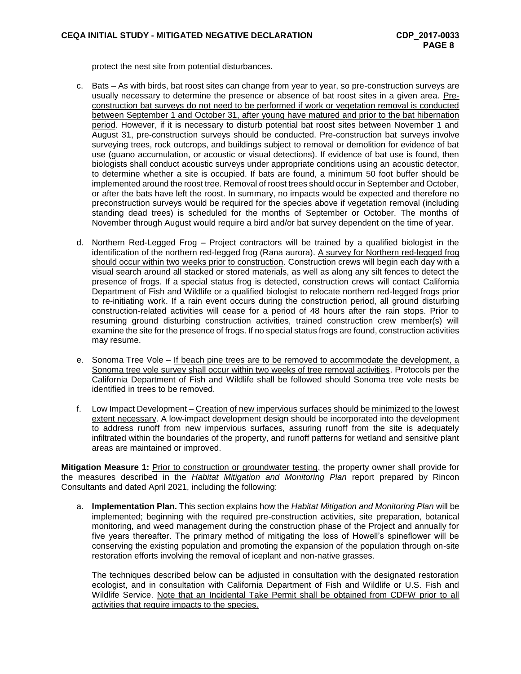protect the nest site from potential disturbances.

- c. Bats As with birds, bat roost sites can change from year to year, so pre-construction surveys are usually necessary to determine the presence or absence of bat roost sites in a given area. Preconstruction bat surveys do not need to be performed if work or vegetation removal is conducted between September 1 and October 31, after young have matured and prior to the bat hibernation period. However, if it is necessary to disturb potential bat roost sites between November 1 and August 31, pre-construction surveys should be conducted. Pre-construction bat surveys involve surveying trees, rock outcrops, and buildings subject to removal or demolition for evidence of bat use (guano accumulation, or acoustic or visual detections). If evidence of bat use is found, then biologists shall conduct acoustic surveys under appropriate conditions using an acoustic detector, to determine whether a site is occupied. If bats are found, a minimum 50 foot buffer should be implemented around the roost tree. Removal of roost trees should occur in September and October, or after the bats have left the roost. In summary, no impacts would be expected and therefore no preconstruction surveys would be required for the species above if vegetation removal (including standing dead trees) is scheduled for the months of September or October. The months of November through August would require a bird and/or bat survey dependent on the time of year.
- d. Northern Red-Legged Frog Project contractors will be trained by a qualified biologist in the identification of the northern red-legged frog (Rana aurora). A survey for Northern red-legged frog should occur within two weeks prior to construction. Construction crews will begin each day with a visual search around all stacked or stored materials, as well as along any silt fences to detect the presence of frogs. If a special status frog is detected, construction crews will contact California Department of Fish and Wildlife or a qualified biologist to relocate northern red-legged frogs prior to re-initiating work. If a rain event occurs during the construction period, all ground disturbing construction-related activities will cease for a period of 48 hours after the rain stops. Prior to resuming ground disturbing construction activities, trained construction crew member(s) will examine the site for the presence of frogs. If no special status frogs are found, construction activities may resume.
- e. Sonoma Tree Vole If beach pine trees are to be removed to accommodate the development, a Sonoma tree vole survey shall occur within two weeks of tree removal activities. Protocols per the California Department of Fish and Wildlife shall be followed should Sonoma tree vole nests be identified in trees to be removed.
- f. Low Impact Development Creation of new impervious surfaces should be minimized to the lowest extent necessary. A low-impact development design should be incorporated into the development to address runoff from new impervious surfaces, assuring runoff from the site is adequately infiltrated within the boundaries of the property, and runoff patterns for wetland and sensitive plant areas are maintained or improved.

**Mitigation Measure 1: Prior to construction or groundwater testing, the property owner shall provide for** the measures described in the *Habitat Mitigation and Monitoring Plan* report prepared by Rincon Consultants and dated April 2021, including the following:

a. **Implementation Plan.** This section explains how the *Habitat Mitigation and Monitoring Plan* will be implemented; beginning with the required pre-construction activities, site preparation, botanical monitoring, and weed management during the construction phase of the Project and annually for five years thereafter. The primary method of mitigating the loss of Howell's spineflower will be conserving the existing population and promoting the expansion of the population through on-site restoration efforts involving the removal of iceplant and non-native grasses.

The techniques described below can be adjusted in consultation with the designated restoration ecologist, and in consultation with California Department of Fish and Wildlife or U.S. Fish and Wildlife Service. Note that an Incidental Take Permit shall be obtained from CDFW prior to all activities that require impacts to the species.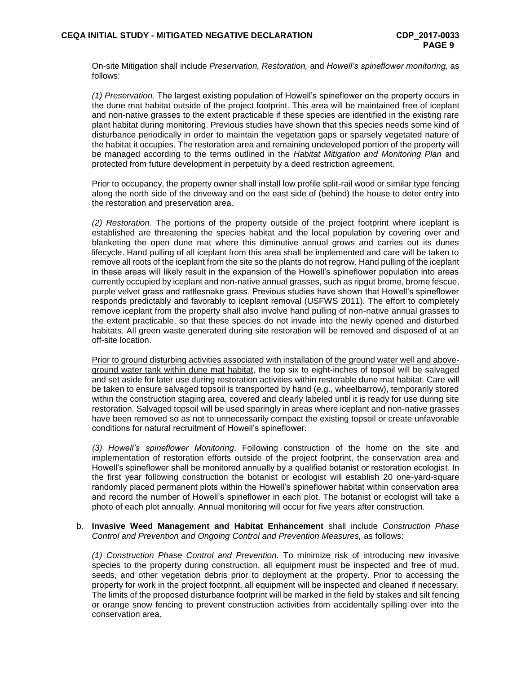On-site Mitigation shall include *Preservation, Restoration,* and *Howell's spineflower monitoring,* as follows:

*(1) Preservation*. The largest existing population of Howell's spineflower on the property occurs in the dune mat habitat outside of the project footprint. This area will be maintained free of iceplant and non-native grasses to the extent practicable if these species are identified in the existing rare plant habitat during monitoring. Previous studies have shown that this species needs some kind of disturbance periodically in order to maintain the vegetation gaps or sparsely vegetated nature of the habitat it occupies. The restoration area and remaining undeveloped portion of the property will be managed according to the terms outlined in the *Habitat Mitigation and Monitoring Plan* and protected from future development in perpetuity by a deed restriction agreement.

Prior to occupancy, the property owner shall install low profile split-rail wood or similar type fencing along the north side of the driveway and on the east side of (behind) the house to deter entry into the restoration and preservation area.

*(2) Restoration*. The portions of the property outside of the project footprint where iceplant is established are threatening the species habitat and the local population by covering over and blanketing the open dune mat where this diminutive annual grows and carries out its dunes lifecycle. Hand pulling of all iceplant from this area shall be implemented and care will be taken to remove all roots of the iceplant from the site so the plants do not regrow. Hand pulling of the iceplant in these areas will likely result in the expansion of the Howell's spineflower population into areas currently occupied by iceplant and non-native annual grasses, such as ripgut brome, brome fescue, purple velvet grass and rattlesnake grass. Previous studies have shown that Howell's spineflower responds predictably and favorably to iceplant removal (USFWS 2011). The effort to completely remove iceplant from the property shall also involve hand pulling of non-native annual grasses to the extent practicable, so that these species do not invade into the newly opened and disturbed habitats. All green waste generated during site restoration will be removed and disposed of at an off-site location.

Prior to ground disturbing activities associated with installation of the ground water well and aboveground water tank within dune mat habitat, the top six to eight-inches of topsoil will be salvaged and set aside for later use during restoration activities within restorable dune mat habitat. Care will be taken to ensure salvaged topsoil is transported by hand (e.g., wheelbarrow), temporarily stored within the construction staging area, covered and clearly labeled until it is ready for use during site restoration. Salvaged topsoil will be used sparingly in areas where iceplant and non-native grasses have been removed so as not to unnecessarily compact the existing topsoil or create unfavorable conditions for natural recruitment of Howell's spineflower.

*(3) Howell's spineflower Monitoring*. Following construction of the home on the site and implementation of restoration efforts outside of the project footprint, the conservation area and Howell's spineflower shall be monitored annually by a qualified botanist or restoration ecologist. In the first year following construction the botanist or ecologist will establish 20 one-yard-square randomly placed permanent plots within the Howell's spineflower habitat within conservation area and record the number of Howell's spineflower in each plot. The botanist or ecologist will take a photo of each plot annually. Annual monitoring will occur for five years after construction.

#### b. **Invasive Weed Management and Habitat Enhancement** shall include *Construction Phase Control and Prevention and Ongoing Control and Prevention Measures,* as follows:

*(1) Construction Phase Control and Prevention.* To minimize risk of introducing new invasive species to the property during construction, all equipment must be inspected and free of mud, seeds, and other vegetation debris prior to deployment at the property. Prior to accessing the property for work in the project footprint, all equipment will be inspected and cleaned if necessary. The limits of the proposed disturbance footprint will be marked in the field by stakes and silt fencing or orange snow fencing to prevent construction activities from accidentally spilling over into the conservation area.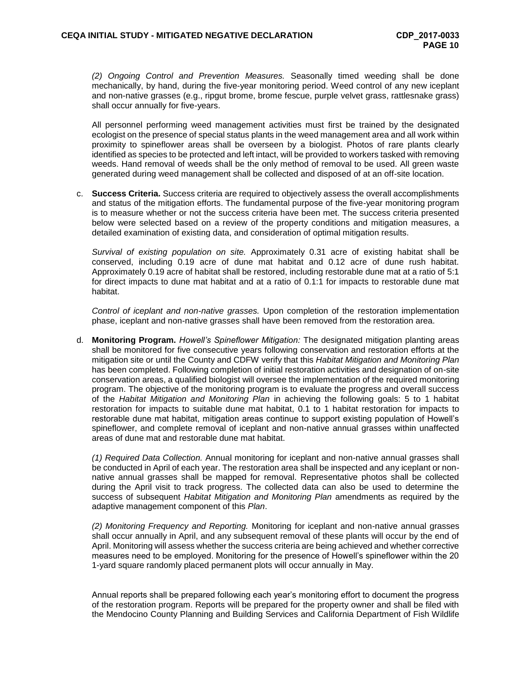*(2) Ongoing Control and Prevention Measures.* Seasonally timed weeding shall be done mechanically, by hand, during the five-year monitoring period. Weed control of any new iceplant and non-native grasses (e.g., ripgut brome, brome fescue, purple velvet grass, rattlesnake grass) shall occur annually for five-years.

All personnel performing weed management activities must first be trained by the designated ecologist on the presence of special status plants in the weed management area and all work within proximity to spineflower areas shall be overseen by a biologist. Photos of rare plants clearly identified as species to be protected and left intact, will be provided to workers tasked with removing weeds. Hand removal of weeds shall be the only method of removal to be used. All green waste generated during weed management shall be collected and disposed of at an off-site location.

c. **Success Criteria.** Success criteria are required to objectively assess the overall accomplishments and status of the mitigation efforts. The fundamental purpose of the five-year monitoring program is to measure whether or not the success criteria have been met. The success criteria presented below were selected based on a review of the property conditions and mitigation measures, a detailed examination of existing data, and consideration of optimal mitigation results.

*Survival of existing population on site.* Approximately 0.31 acre of existing habitat shall be conserved, including 0.19 acre of dune mat habitat and 0.12 acre of dune rush habitat. Approximately 0.19 acre of habitat shall be restored, including restorable dune mat at a ratio of 5:1 for direct impacts to dune mat habitat and at a ratio of 0.1:1 for impacts to restorable dune mat habitat.

*Control of iceplant and non-native grasses.* Upon completion of the restoration implementation phase, iceplant and non-native grasses shall have been removed from the restoration area.

d. **Monitoring Program.** *Howell's Spineflower Mitigation:* The designated mitigation planting areas shall be monitored for five consecutive years following conservation and restoration efforts at the mitigation site or until the County and CDFW verify that this *Habitat Mitigation and Monitoring Plan* has been completed. Following completion of initial restoration activities and designation of on-site conservation areas, a qualified biologist will oversee the implementation of the required monitoring program. The objective of the monitoring program is to evaluate the progress and overall success of the *Habitat Mitigation and Monitoring Plan* in achieving the following goals: 5 to 1 habitat restoration for impacts to suitable dune mat habitat, 0.1 to 1 habitat restoration for impacts to restorable dune mat habitat, mitigation areas continue to support existing population of Howell's spineflower, and complete removal of iceplant and non-native annual grasses within unaffected areas of dune mat and restorable dune mat habitat.

*(1) Required Data Collection.* Annual monitoring for iceplant and non-native annual grasses shall be conducted in April of each year. The restoration area shall be inspected and any iceplant or nonnative annual grasses shall be mapped for removal. Representative photos shall be collected during the April visit to track progress. The collected data can also be used to determine the success of subsequent *Habitat Mitigation and Monitoring Plan* amendments as required by the adaptive management component of this *Plan*.

*(2) Monitoring Frequency and Reporting.* Monitoring for iceplant and non-native annual grasses shall occur annually in April, and any subsequent removal of these plants will occur by the end of April. Monitoring will assess whether the success criteria are being achieved and whether corrective measures need to be employed. Monitoring for the presence of Howell's spineflower within the 20 1-yard square randomly placed permanent plots will occur annually in May.

Annual reports shall be prepared following each year's monitoring effort to document the progress of the restoration program. Reports will be prepared for the property owner and shall be filed with the Mendocino County Planning and Building Services and California Department of Fish Wildlife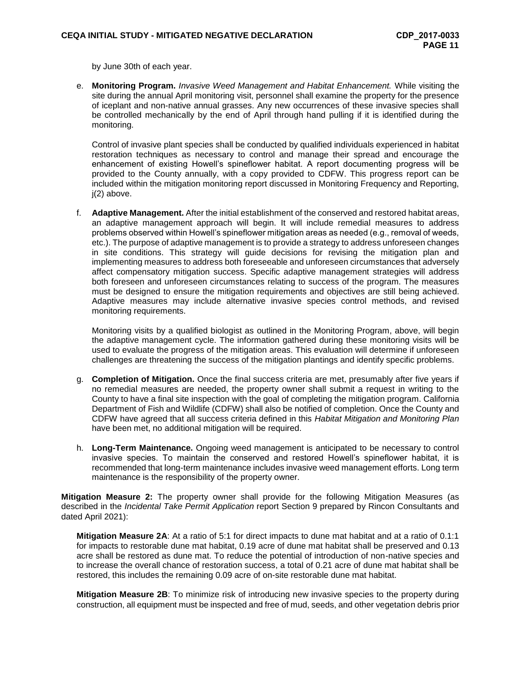by June 30th of each year.

e. **Monitoring Program.** *Invasive Weed Management and Habitat Enhancement.* While visiting the site during the annual April monitoring visit, personnel shall examine the property for the presence of iceplant and non-native annual grasses. Any new occurrences of these invasive species shall be controlled mechanically by the end of April through hand pulling if it is identified during the monitoring.

Control of invasive plant species shall be conducted by qualified individuals experienced in habitat restoration techniques as necessary to control and manage their spread and encourage the enhancement of existing Howell's spineflower habitat. A report documenting progress will be provided to the County annually, with a copy provided to CDFW. This progress report can be included within the mitigation monitoring report discussed in Monitoring Frequency and Reporting, j(2) above.

f. **Adaptive Management.** After the initial establishment of the conserved and restored habitat areas, an adaptive management approach will begin. It will include remedial measures to address problems observed within Howell's spineflower mitigation areas as needed (e.g., removal of weeds, etc.). The purpose of adaptive management is to provide a strategy to address unforeseen changes in site conditions. This strategy will guide decisions for revising the mitigation plan and implementing measures to address both foreseeable and unforeseen circumstances that adversely affect compensatory mitigation success. Specific adaptive management strategies will address both foreseen and unforeseen circumstances relating to success of the program. The measures must be designed to ensure the mitigation requirements and objectives are still being achieved. Adaptive measures may include alternative invasive species control methods, and revised monitoring requirements.

Monitoring visits by a qualified biologist as outlined in the Monitoring Program, above, will begin the adaptive management cycle. The information gathered during these monitoring visits will be used to evaluate the progress of the mitigation areas. This evaluation will determine if unforeseen challenges are threatening the success of the mitigation plantings and identify specific problems.

- g. **Completion of Mitigation.** Once the final success criteria are met, presumably after five years if no remedial measures are needed, the property owner shall submit a request in writing to the County to have a final site inspection with the goal of completing the mitigation program. California Department of Fish and Wildlife (CDFW) shall also be notified of completion. Once the County and CDFW have agreed that all success criteria defined in this *Habitat Mitigation and Monitoring Plan* have been met, no additional mitigation will be required.
- h. **Long-Term Maintenance.** Ongoing weed management is anticipated to be necessary to control invasive species. To maintain the conserved and restored Howell's spineflower habitat, it is recommended that long-term maintenance includes invasive weed management efforts. Long term maintenance is the responsibility of the property owner.

**Mitigation Measure 2:** The property owner shall provide for the following Mitigation Measures (as described in the *Incidental Take Permit Application* report Section 9 prepared by Rincon Consultants and dated April 2021):

**Mitigation Measure 2A**: At a ratio of 5:1 for direct impacts to dune mat habitat and at a ratio of 0.1:1 for impacts to restorable dune mat habitat, 0.19 acre of dune mat habitat shall be preserved and 0.13 acre shall be restored as dune mat. To reduce the potential of introduction of non-native species and to increase the overall chance of restoration success, a total of 0.21 acre of dune mat habitat shall be restored, this includes the remaining 0.09 acre of on-site restorable dune mat habitat.

**Mitigation Measure 2B**: To minimize risk of introducing new invasive species to the property during construction, all equipment must be inspected and free of mud, seeds, and other vegetation debris prior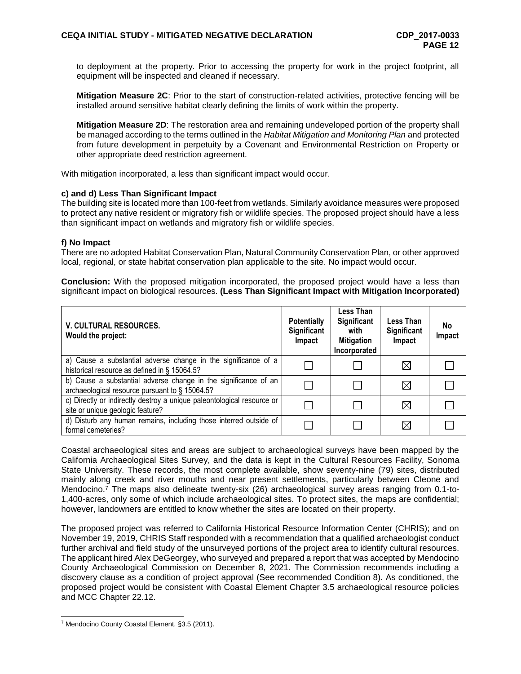to deployment at the property. Prior to accessing the property for work in the project footprint, all equipment will be inspected and cleaned if necessary.

**Mitigation Measure 2C**: Prior to the start of construction-related activities, protective fencing will be installed around sensitive habitat clearly defining the limits of work within the property.

**Mitigation Measure 2D**: The restoration area and remaining undeveloped portion of the property shall be managed according to the terms outlined in the *Habitat Mitigation and Monitoring Plan* and protected from future development in perpetuity by a Covenant and Environmental Restriction on Property or other appropriate deed restriction agreement.

With mitigation incorporated, a less than significant impact would occur.

#### **c) and d) Less Than Significant Impact**

The building site is located more than 100-feet from wetlands. Similarly avoidance measures were proposed to protect any native resident or migratory fish or wildlife species. The proposed project should have a less than significant impact on wetlands and migratory fish or wildlife species.

#### **f) No Impact**

There are no adopted Habitat Conservation Plan, Natural Community Conservation Plan, or other approved local, regional, or state habitat conservation plan applicable to the site. No impact would occur.

**Conclusion:** With the proposed mitigation incorporated, the proposed project would have a less than significant impact on biological resources. **(Less Than Significant Impact with Mitigation Incorporated)**

| V. CULTURAL RESOURCES.<br>Would the project:                                                                      | <b>Potentially</b><br>Significant<br>Impact | Less Than<br>Significant<br>with<br><b>Mitigation</b><br>Incorporated | Less Than<br>Significant<br>Impact | No<br>Impact |
|-------------------------------------------------------------------------------------------------------------------|---------------------------------------------|-----------------------------------------------------------------------|------------------------------------|--------------|
| a) Cause a substantial adverse change in the significance of a<br>historical resource as defined in § 15064.5?    |                                             |                                                                       | $\boxtimes$                        |              |
| b) Cause a substantial adverse change in the significance of an<br>archaeological resource pursuant to § 15064.5? |                                             |                                                                       | $\boxtimes$                        |              |
| c) Directly or indirectly destroy a unique paleontological resource or<br>site or unique geologic feature?        |                                             |                                                                       | $\boxtimes$                        |              |
| d) Disturb any human remains, including those interred outside of<br>formal cemeteries?                           |                                             |                                                                       | $\boxtimes$                        |              |

Coastal archaeological sites and areas are subject to archaeological surveys have been mapped by the California Archaeological Sites Survey, and the data is kept in the Cultural Resources Facility, Sonoma State University. These records, the most complete available, show seventy-nine (79) sites, distributed mainly along creek and river mouths and near present settlements, particularly between Cleone and Mendocino. <sup>7</sup> The maps also delineate twenty-six (26) archaeological survey areas ranging from 0.1-to-1,400-acres, only some of which include archaeological sites. To protect sites, the maps are confidential; however, landowners are entitled to know whether the sites are located on their property.

The proposed project was referred to California Historical Resource Information Center (CHRIS); and on November 19, 2019, CHRIS Staff responded with a recommendation that a qualified archaeologist conduct further archival and field study of the unsurveyed portions of the project area to identify cultural resources. The applicant hired Alex DeGeorgey, who surveyed and prepared a report that was accepted by Mendocino County Archaeological Commission on December 8, 2021. The Commission recommends including a discovery clause as a condition of project approval (See recommended Condition 8). As conditioned, the proposed project would be consistent with Coastal Element Chapter 3.5 archaeological resource policies and MCC Chapter 22.12.

<sup>7</sup> Mendocino County Coastal Element, §3.5 (2011).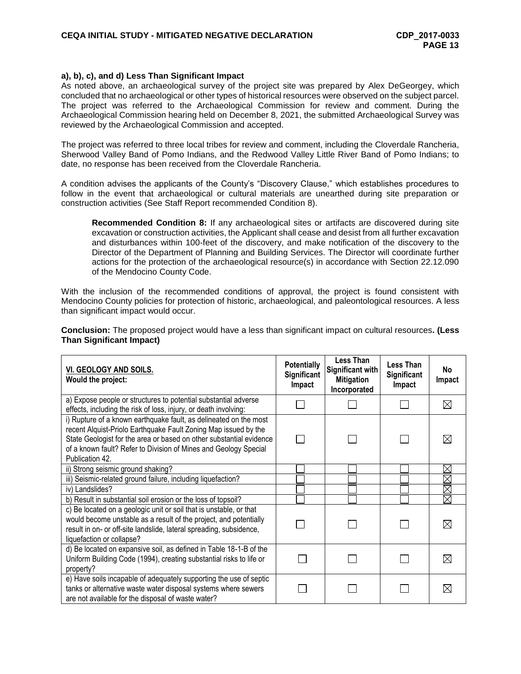#### **a), b), c), and d) Less Than Significant Impact**

As noted above, an archaeological survey of the project site was prepared by Alex DeGeorgey, which concluded that no archaeological or other types of historical resources were observed on the subject parcel. The project was referred to the Archaeological Commission for review and comment. During the Archaeological Commission hearing held on December 8, 2021, the submitted Archaeological Survey was reviewed by the Archaeological Commission and accepted.

The project was referred to three local tribes for review and comment, including the Cloverdale Rancheria, Sherwood Valley Band of Pomo Indians, and the Redwood Valley Little River Band of Pomo Indians; to date, no response has been received from the Cloverdale Rancheria.

A condition advises the applicants of the County's "Discovery Clause," which establishes procedures to follow in the event that archaeological or cultural materials are unearthed during site preparation or construction activities (See Staff Report recommended Condition 8).

**Recommended Condition 8:** If any archaeological sites or artifacts are discovered during site excavation or construction activities, the Applicant shall cease and desist from all further excavation and disturbances within 100-feet of the discovery, and make notification of the discovery to the Director of the Department of Planning and Building Services. The Director will coordinate further actions for the protection of the archaeological resource(s) in accordance with Section 22.12.090 of the Mendocino County Code.

With the inclusion of the recommended conditions of approval, the project is found consistent with Mendocino County policies for protection of historic, archaeological, and paleontological resources. A less than significant impact would occur.

**Conclusion:** The proposed project would have a less than significant impact on cultural resources**. (Less Than Significant Impact)**

| VI. GEOLOGY AND SOILS.<br>Would the project:                                                                                                                                                                                                                                                       | <b>Potentially</b><br>Significant<br>Impact | <b>Less Than</b><br>Significant with<br><b>Mitigation</b><br>Incorporated | Less Than<br>Significant<br>Impact | No<br>Impact |
|----------------------------------------------------------------------------------------------------------------------------------------------------------------------------------------------------------------------------------------------------------------------------------------------------|---------------------------------------------|---------------------------------------------------------------------------|------------------------------------|--------------|
| a) Expose people or structures to potential substantial adverse<br>effects, including the risk of loss, injury, or death involving:                                                                                                                                                                |                                             |                                                                           |                                    | $\times$     |
| i) Rupture of a known earthquake fault, as delineated on the most<br>recent Alguist-Priolo Earthquake Fault Zoning Map issued by the<br>State Geologist for the area or based on other substantial evidence<br>of a known fault? Refer to Division of Mines and Geology Special<br>Publication 42. |                                             |                                                                           |                                    |              |
| ii) Strong seismic ground shaking?                                                                                                                                                                                                                                                                 |                                             |                                                                           |                                    | X            |
| iii) Seismic-related ground failure, including liquefaction?                                                                                                                                                                                                                                       |                                             |                                                                           |                                    | $\times$     |
| iv) Landslides?                                                                                                                                                                                                                                                                                    |                                             |                                                                           |                                    | $\times$     |
| b) Result in substantial soil erosion or the loss of topsoil?                                                                                                                                                                                                                                      |                                             |                                                                           |                                    | $\boxtimes$  |
| c) Be located on a geologic unit or soil that is unstable, or that<br>would become unstable as a result of the project, and potentially<br>result in on- or off-site landslide, lateral spreading, subsidence,<br>liquefaction or collapse?                                                        |                                             |                                                                           |                                    |              |
| d) Be located on expansive soil, as defined in Table 18-1-B of the<br>Uniform Building Code (1994), creating substantial risks to life or<br>property?                                                                                                                                             |                                             |                                                                           |                                    | $\bowtie$    |
| e) Have soils incapable of adequately supporting the use of septic<br>tanks or alternative waste water disposal systems where sewers<br>are not available for the disposal of waste water?                                                                                                         |                                             |                                                                           |                                    |              |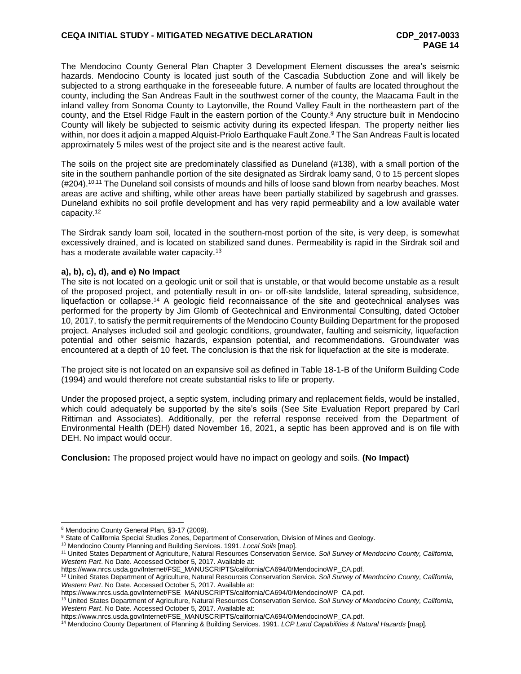The Mendocino County General Plan Chapter 3 Development Element discusses the area's seismic hazards. Mendocino County is located just south of the Cascadia Subduction Zone and will likely be subjected to a strong earthquake in the foreseeable future. A number of faults are located throughout the county, including the San Andreas Fault in the southwest corner of the county, the Maacama Fault in the inland valley from Sonoma County to Laytonville, the Round Valley Fault in the northeastern part of the county, and the Etsel Ridge Fault in the eastern portion of the County. <sup>8</sup> Any structure built in Mendocino County will likely be subjected to seismic activity during its expected lifespan. The property neither lies within, nor does it adjoin a mapped Alquist-Priolo Earthquake Fault Zone.<sup>9</sup> The San Andreas Fault is located approximately 5 miles west of the project site and is the nearest active fault.

The soils on the project site are predominately classified as Duneland (#138), with a small portion of the site in the southern panhandle portion of the site designated as Sirdrak loamy sand, 0 to 15 percent slopes (#204). 10,11 The Duneland soil consists of mounds and hills of loose sand blown from nearby beaches. Most areas are active and shifting, while other areas have been partially stabilized by sagebrush and grasses. Duneland exhibits no soil profile development and has very rapid permeability and a low available water capacity.<sup>12</sup>

The Sirdrak sandy loam soil, located in the southern-most portion of the site, is very deep, is somewhat excessively drained, and is located on stabilized sand dunes. Permeability is rapid in the Sirdrak soil and has a moderate available water capacity.<sup>13</sup>

## **a), b), c), d), and e) No Impact**

The site is not located on a geologic unit or soil that is unstable, or that would become unstable as a result of the proposed project, and potentially result in on- or off-site landslide, lateral spreading, subsidence, liquefaction or collapse.<sup>14</sup> A geologic field reconnaissance of the site and geotechnical analyses was performed for the property by Jim Glomb of Geotechnical and Environmental Consulting, dated October 10, 2017, to satisfy the permit requirements of the Mendocino County Building Department for the proposed project. Analyses included soil and geologic conditions, groundwater, faulting and seismicity, liquefaction potential and other seismic hazards, expansion potential, and recommendations. Groundwater was encountered at a depth of 10 feet. The conclusion is that the risk for liquefaction at the site is moderate.

The project site is not located on an expansive soil as defined in Table 18-1-B of the Uniform Building Code (1994) and would therefore not create substantial risks to life or property.

Under the proposed project, a septic system, including primary and replacement fields, would be installed, which could adequately be supported by the site's soils (See Site Evaluation Report prepared by Carl Rittiman and Associates). Additionally, per the referral response received from the Department of Environmental Health (DEH) dated November 16, 2021, a septic has been approved and is on file with DEH. No impact would occur.

**Conclusion:** The proposed project would have no impact on geology and soils. **(No Impact)**

<sup>8</sup> Mendocino County General Plan, §3-17 (2009).

<sup>&</sup>lt;sup>9</sup> State of California Special Studies Zones, Department of Conservation, Division of Mines and Geology.

<sup>10</sup> Mendocino County Planning and Building Services. 1991. *Local Soils* [map].

<sup>11</sup> United States Department of Agriculture, Natural Resources Conservation Service. *Soil Survey of Mendocino County, California, Western Part*. No Date. Accessed October 5, 2017. Available at:

https://www.nrcs.usda.gov/Internet/FSE\_MANUSCRIPTS/california/CA694/0/MendocinoWP\_CA.pdf.

<sup>12</sup> United States Department of Agriculture, Natural Resources Conservation Service. *Soil Survey of Mendocino County, California, Western Part*. No Date. Accessed October 5, 2017. Available at:

https://www.nrcs.usda.gov/Internet/FSE\_MANUSCRIPTS/california/CA694/0/MendocinoWP\_CA.pdf.

<sup>13</sup> United States Department of Agriculture, Natural Resources Conservation Service. *Soil Survey of Mendocino County, California, Western Part*. No Date. Accessed October 5, 2017. Available at:

https://www.nrcs.usda.gov/Internet/FSE\_MANUSCRIPTS/california/CA694/0/MendocinoWP\_CA.pdf.

<sup>14</sup> Mendocino County Department of Planning & Building Services. 1991. *LCP Land Capabilities & Natural Hazards* [map]*.*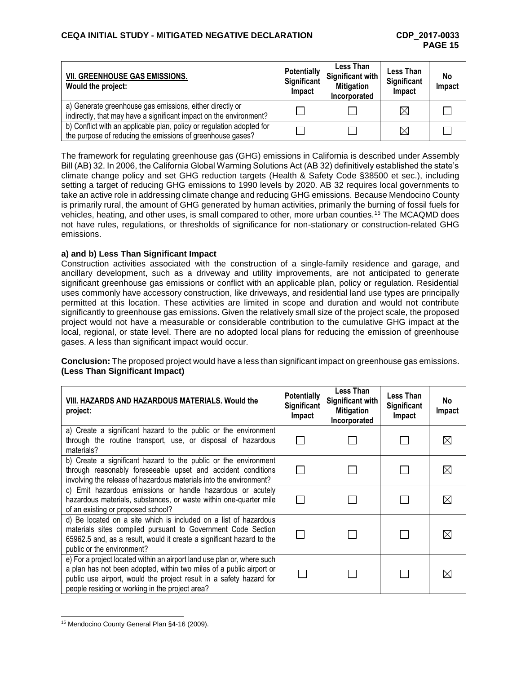| <b>VII. GREENHOUSE GAS EMISSIONS.</b><br>Would the project:                                                                         | <b>Potentially</b><br>Significant<br>Impact | Less Than<br>Significant with<br><b>Mitigation</b><br>Incorporated | <b>Less Than</b><br>Significant<br>Impact | No<br>Impact |
|-------------------------------------------------------------------------------------------------------------------------------------|---------------------------------------------|--------------------------------------------------------------------|-------------------------------------------|--------------|
| a) Generate greenhouse gas emissions, either directly or<br>indirectly, that may have a significant impact on the environment?      |                                             |                                                                    | $\boxtimes$                               |              |
| b) Conflict with an applicable plan, policy or regulation adopted for<br>the purpose of reducing the emissions of greenhouse gases? |                                             |                                                                    | $\boxtimes$                               |              |

The framework for regulating greenhouse gas (GHG) emissions in California is described under Assembly Bill (AB) 32. In 2006, the California Global Warming Solutions Act (AB 32) definitively established the state's climate change policy and set GHG reduction targets (Health & Safety Code §38500 et sec.), including setting a target of reducing GHG emissions to 1990 levels by 2020. AB 32 requires local governments to take an active role in addressing climate change and reducing GHG emissions. Because Mendocino County is primarily rural, the amount of GHG generated by human activities, primarily the burning of fossil fuels for vehicles, heating, and other uses, is small compared to other, more urban counties.<sup>15</sup> The MCAQMD does not have rules, regulations, or thresholds of significance for non-stationary or construction-related GHG emissions.

## **a) and b) Less Than Significant Impact**

Construction activities associated with the construction of a single-family residence and garage, and ancillary development, such as a driveway and utility improvements, are not anticipated to generate significant greenhouse gas emissions or conflict with an applicable plan, policy or regulation. Residential uses commonly have accessory construction, like driveways, and residential land use types are principally permitted at this location. These activities are limited in scope and duration and would not contribute significantly to greenhouse gas emissions. Given the relatively small size of the project scale, the proposed project would not have a measurable or considerable contribution to the cumulative GHG impact at the local, regional, or state level. There are no adopted local plans for reducing the emission of greenhouse gases. A less than significant impact would occur.

**Conclusion:** The proposed project would have a less than significant impact on greenhouse gas emissions. **(Less Than Significant Impact)**

| VIII. HAZARDS AND HAZARDOUS MATERIALS. Would the<br>project:                                                                                                                                                                                                              | <b>Potentially</b><br>Significant<br><b>Impact</b> | Less Than<br>Significant with<br><b>Mitigation</b><br>Incorporated | <b>Less Than</b><br>Significant<br>Impact | No.<br>Impact |
|---------------------------------------------------------------------------------------------------------------------------------------------------------------------------------------------------------------------------------------------------------------------------|----------------------------------------------------|--------------------------------------------------------------------|-------------------------------------------|---------------|
| a) Create a significant hazard to the public or the environment<br>through the routine transport, use, or disposal of hazardous<br>materials?                                                                                                                             |                                                    |                                                                    |                                           |               |
| b) Create a significant hazard to the public or the environment<br>through reasonably foreseeable upset and accident conditions<br>involving the release of hazardous materials into the environment?                                                                     |                                                    |                                                                    |                                           |               |
| c) Emit hazardous emissions or handle hazardous or acutely<br>hazardous materials, substances, or waste within one-quarter mile<br>of an existing or proposed school?                                                                                                     |                                                    |                                                                    |                                           |               |
| d) Be located on a site which is included on a list of hazardous<br>materials sites compiled pursuant to Government Code Section<br>65962.5 and, as a result, would it create a significant hazard to the<br>public or the environment?                                   |                                                    |                                                                    |                                           |               |
| e) For a project located within an airport land use plan or, where such<br>a plan has not been adopted, within two miles of a public airport or<br>public use airport, would the project result in a safety hazard for<br>people residing or working in the project area? |                                                    |                                                                    |                                           |               |

<sup>15</sup> Mendocino County General Plan §4-16 (2009).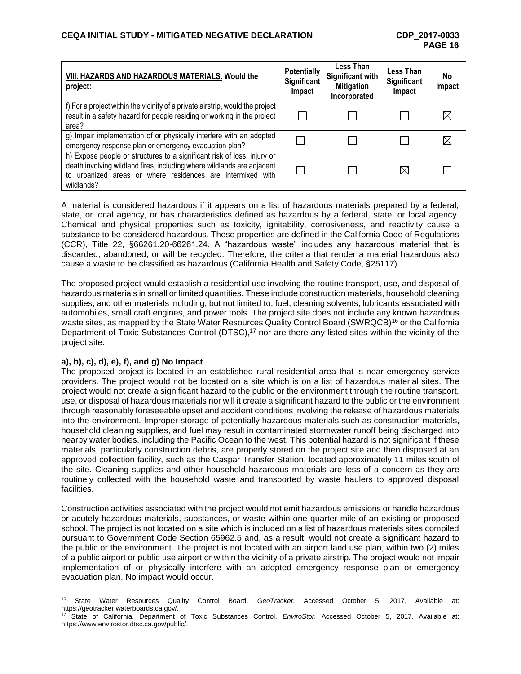| VIII. HAZARDS AND HAZARDOUS MATERIALS. Would the<br>project:                                                                                                                                                                  | <b>Potentially</b><br><b>Significant</b><br>Impact | Less Than<br>Significant with<br><b>Mitigation</b><br>Incorporated | Less Than<br><b>Significant</b><br>Impact | <b>No</b><br>Impact |
|-------------------------------------------------------------------------------------------------------------------------------------------------------------------------------------------------------------------------------|----------------------------------------------------|--------------------------------------------------------------------|-------------------------------------------|---------------------|
| f) For a project within the vicinity of a private airstrip, would the project<br>result in a safety hazard for people residing or working in the project<br>area?                                                             |                                                    |                                                                    |                                           |                     |
| g) Impair implementation of or physically interfere with an adopted<br>emergency response plan or emergency evacuation plan?                                                                                                  |                                                    |                                                                    |                                           |                     |
| h) Expose people or structures to a significant risk of loss, injury or<br>death involving wildland fires, including where wildlands are adjacent<br>to urbanized areas or where residences are intermixed with<br>wildlands? |                                                    |                                                                    | $\boxtimes$                               |                     |

A material is considered hazardous if it appears on a list of hazardous materials prepared by a federal, state, or local agency, or has characteristics defined as hazardous by a federal, state, or local agency. Chemical and physical properties such as toxicity, ignitability, corrosiveness, and reactivity cause a substance to be considered hazardous. These properties are defined in the California Code of Regulations (CCR), Title 22, §66261.20-66261.24. A "hazardous waste" includes any hazardous material that is discarded, abandoned, or will be recycled. Therefore, the criteria that render a material hazardous also cause a waste to be classified as hazardous (California Health and Safety Code, §25117).

The proposed project would establish a residential use involving the routine transport, use, and disposal of hazardous materials in small or limited quantities. These include construction materials, household cleaning supplies, and other materials including, but not limited to, fuel, cleaning solvents, lubricants associated with automobiles, small craft engines, and power tools. The project site does not include any known hazardous waste sites, as mapped by the State Water Resources Quality Control Board (SWRQCB)<sup>16</sup> or the California Department of Toxic Substances Control (DTSC),<sup>17</sup> nor are there any listed sites within the vicinity of the project site.

### **a), b), c), d), e), f), and g) No Impact**

The proposed project is located in an established rural residential area that is near emergency service providers. The project would not be located on a site which is on a list of hazardous material sites. The project would not create a significant hazard to the public or the environment through the routine transport, use, or disposal of hazardous materials nor will it create a significant hazard to the public or the environment through reasonably foreseeable upset and accident conditions involving the release of hazardous materials into the environment. Improper storage of potentially hazardous materials such as construction materials, household cleaning supplies, and fuel may result in contaminated stormwater runoff being discharged into nearby water bodies, including the Pacific Ocean to the west. This potential hazard is not significant if these materials, particularly construction debris, are properly stored on the project site and then disposed at an approved collection facility, such as the Caspar Transfer Station, located approximately 11 miles south of the site. Cleaning supplies and other household hazardous materials are less of a concern as they are routinely collected with the household waste and transported by waste haulers to approved disposal facilities.

Construction activities associated with the project would not emit hazardous emissions or handle hazardous or acutely hazardous materials, substances, or waste within one-quarter mile of an existing or proposed school. The project is not located on a site which is included on a list of hazardous materials sites compiled pursuant to Government Code Section 65962.5 and, as a result, would not create a significant hazard to the public or the environment. The project is not located with an airport land use plan, within two (2) miles of a public airport or public use airport or within the vicinity of a private airstrip. The project would not impair implementation of or physically interfere with an adopted emergency response plan or emergency evacuation plan. No impact would occur.

l <sup>16</sup> State Water Resources Quality Control Board. *GeoTracker.* Accessed October 5, 2017. Available at: https://geotracker.waterboards.ca.gov/.

<sup>17</sup> State of California. Department of Toxic Substances Control. *EnviroStor.* Accessed October 5, 2017. Available at: https://www.envirostor.dtsc.ca.gov/public/.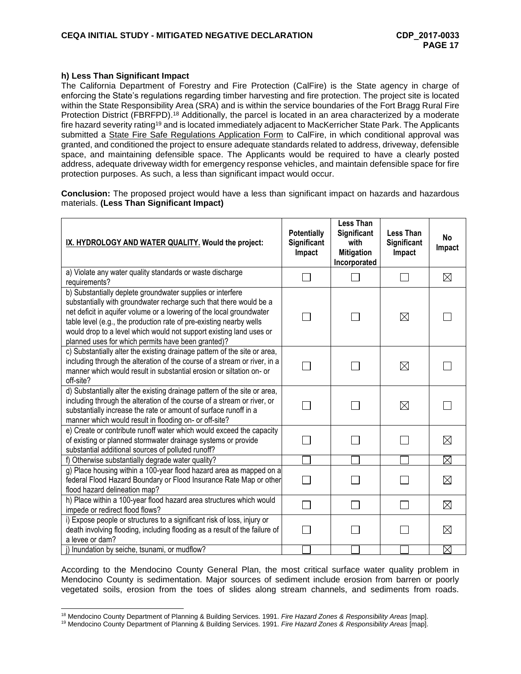#### **h) Less Than Significant Impact**

The California Department of Forestry and Fire Protection (CalFire) is the State agency in charge of enforcing the State's regulations regarding timber harvesting and fire protection. The project site is located within the State Responsibility Area (SRA) and is within the service boundaries of the Fort Bragg Rural Fire Protection District (FBRFPD).<sup>18</sup> Additionally, the parcel is located in an area characterized by a moderate fire hazard severity rating<sup>19</sup> and is located immediately adjacent to MacKerricher State Park. The Applicants submitted a State Fire Safe Regulations Application Form to CalFire, in which conditional approval was granted, and conditioned the project to ensure adequate standards related to address, driveway, defensible space, and maintaining defensible space. The Applicants would be required to have a clearly posted address, adequate driveway width for emergency response vehicles, and maintain defensible space for fire protection purposes. As such, a less than significant impact would occur.

**Conclusion:** The proposed project would have a less than significant impact on hazards and hazardous materials. **(Less Than Significant Impact)**

| IX. HYDROLOGY AND WATER QUALITY. Would the project:                                                                                                                                                                                                                                                                                                                                                          | <b>Potentially</b><br>Significant<br>Impact | <b>Less Than</b><br>Significant<br>with<br><b>Mitigation</b><br>Incorporated | <b>Less Than</b><br>Significant<br>Impact | <b>No</b><br>Impact |
|--------------------------------------------------------------------------------------------------------------------------------------------------------------------------------------------------------------------------------------------------------------------------------------------------------------------------------------------------------------------------------------------------------------|---------------------------------------------|------------------------------------------------------------------------------|-------------------------------------------|---------------------|
| a) Violate any water quality standards or waste discharge<br>requirements?                                                                                                                                                                                                                                                                                                                                   |                                             |                                                                              |                                           | $\boxtimes$         |
| b) Substantially deplete groundwater supplies or interfere<br>substantially with groundwater recharge such that there would be a<br>net deficit in aquifer volume or a lowering of the local groundwater<br>table level (e.g., the production rate of pre-existing nearby wells<br>would drop to a level which would not support existing land uses or<br>planned uses for which permits have been granted)? |                                             |                                                                              | $\boxtimes$                               |                     |
| c) Substantially alter the existing drainage pattern of the site or area,<br>including through the alteration of the course of a stream or river, in a<br>manner which would result in substantial erosion or siltation on- or<br>off-site?                                                                                                                                                                  |                                             |                                                                              | ⊠                                         |                     |
| d) Substantially alter the existing drainage pattern of the site or area,<br>including through the alteration of the course of a stream or river, or<br>substantially increase the rate or amount of surface runoff in a<br>manner which would result in flooding on- or off-site?                                                                                                                           |                                             |                                                                              | ⊠                                         |                     |
| e) Create or contribute runoff water which would exceed the capacity<br>of existing or planned stormwater drainage systems or provide<br>substantial additional sources of polluted runoff?                                                                                                                                                                                                                  |                                             |                                                                              |                                           | $\boxtimes$         |
| f) Otherwise substantially degrade water quality?                                                                                                                                                                                                                                                                                                                                                            |                                             |                                                                              |                                           | $\boxtimes$         |
| g) Place housing within a 100-year flood hazard area as mapped on a<br>federal Flood Hazard Boundary or Flood Insurance Rate Map or other<br>flood hazard delineation map?                                                                                                                                                                                                                                   |                                             |                                                                              |                                           | $\boxtimes$         |
| h) Place within a 100-year flood hazard area structures which would<br>impede or redirect flood flows?                                                                                                                                                                                                                                                                                                       |                                             | $\vert \ \ \vert$                                                            |                                           | $\boxtimes$         |
| i) Expose people or structures to a significant risk of loss, injury or<br>death involving flooding, including flooding as a result of the failure of<br>a levee or dam?                                                                                                                                                                                                                                     |                                             |                                                                              |                                           | $\boxtimes$         |
| j) Inundation by seiche, tsunami, or mudflow?                                                                                                                                                                                                                                                                                                                                                                |                                             |                                                                              |                                           | $\boxtimes$         |

According to the Mendocino County General Plan, the most critical surface water quality problem in Mendocino County is sedimentation. Major sources of sediment include erosion from barren or poorly vegetated soils, erosion from the toes of slides along stream channels, and sediments from roads.

l <sup>18</sup> Mendocino County Department of Planning & Building Services. 1991. *Fire Hazard Zones & Responsibility Areas* [map].

<sup>19</sup> Mendocino County Department of Planning & Building Services. 1991. *Fire Hazard Zones & Responsibility Areas* [map].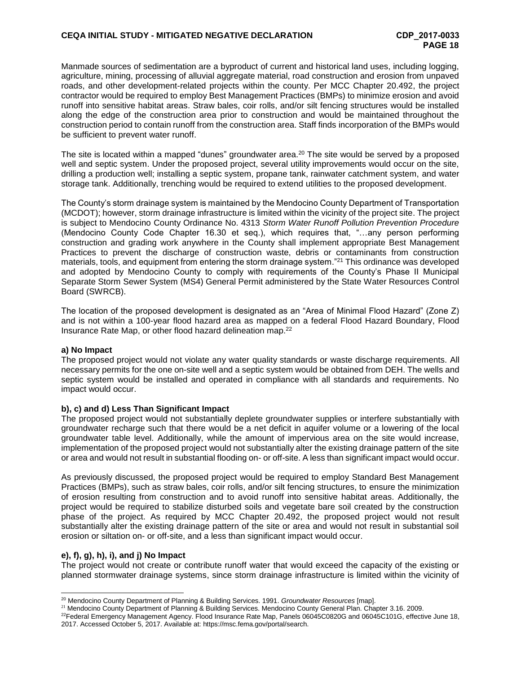Manmade sources of sedimentation are a byproduct of current and historical land uses, including logging, agriculture, mining, processing of alluvial aggregate material, road construction and erosion from unpaved roads, and other development-related projects within the county. Per MCC Chapter 20.492, the project contractor would be required to employ Best Management Practices (BMPs) to minimize erosion and avoid runoff into sensitive habitat areas. Straw bales, coir rolls, and/or silt fencing structures would be installed along the edge of the construction area prior to construction and would be maintained throughout the construction period to contain runoff from the construction area. Staff finds incorporation of the BMPs would be sufficient to prevent water runoff.

The site is located within a mapped "dunes" groundwater area.<sup>20</sup> The site would be served by a proposed well and septic system. Under the proposed project, several utility improvements would occur on the site, drilling a production well; installing a septic system, propane tank, rainwater catchment system, and water storage tank. Additionally, trenching would be required to extend utilities to the proposed development.

The County's storm drainage system is maintained by the Mendocino County Department of Transportation (MCDOT); however, storm drainage infrastructure is limited within the vicinity of the project site. The project is subject to Mendocino County Ordinance No. 4313 *Storm Water Runoff Pollution Prevention Procedure* (Mendocino County Code Chapter 16.30 et seq.), which requires that, "…any person performing construction and grading work anywhere in the County shall implement appropriate Best Management Practices to prevent the discharge of construction waste, debris or contaminants from construction materials, tools, and equipment from entering the storm drainage system."<sup>21</sup> This ordinance was developed and adopted by Mendocino County to comply with requirements of the County's Phase II Municipal Separate Storm Sewer System (MS4) General Permit administered by the State Water Resources Control Board (SWRCB).

The location of the proposed development is designated as an "Area of Minimal Flood Hazard" (Zone Z) and is not within a 100-year flood hazard area as mapped on a federal Flood Hazard Boundary, Flood Insurance Rate Map, or other flood hazard delineation map.<sup>22</sup>

### **a) No Impact**

The proposed project would not violate any water quality standards or waste discharge requirements. All necessary permits for the one on-site well and a septic system would be obtained from DEH. The wells and septic system would be installed and operated in compliance with all standards and requirements. No impact would occur.

### **b), c) and d) Less Than Significant Impact**

The proposed project would not substantially deplete groundwater supplies or interfere substantially with groundwater recharge such that there would be a net deficit in aquifer volume or a lowering of the local groundwater table level. Additionally, while the amount of impervious area on the site would increase, implementation of the proposed project would not substantially alter the existing drainage pattern of the site or area and would not result in substantial flooding on- or off-site. A less than significant impact would occur.

As previously discussed, the proposed project would be required to employ Standard Best Management Practices (BMPs), such as straw bales, coir rolls, and/or silt fencing structures, to ensure the minimization of erosion resulting from construction and to avoid runoff into sensitive habitat areas. Additionally, the project would be required to stabilize disturbed soils and vegetate bare soil created by the construction phase of the project. As required by MCC Chapter 20.492, the proposed project would not result substantially alter the existing drainage pattern of the site or area and would not result in substantial soil erosion or siltation on- or off-site, and a less than significant impact would occur.

### **e), f), g), h), i), and j) No Impact**

l

The project would not create or contribute runoff water that would exceed the capacity of the existing or planned stormwater drainage systems, since storm drainage infrastructure is limited within the vicinity of

<sup>20</sup> Mendocino County Department of Planning & Building Services. 1991. *Groundwater Resources* [map].

<sup>21</sup> Mendocino County Department of Planning & Building Services. Mendocino County General Plan. Chapter 3.16. 2009.

<sup>&</sup>lt;sup>22</sup>Federal Emergency Management Agency. Flood Insurance Rate Map, Panels 06045C0820G and 06045C101G, effective June 18, 2017. Accessed October 5, 2017. Available at: https://msc.fema.gov/portal/search.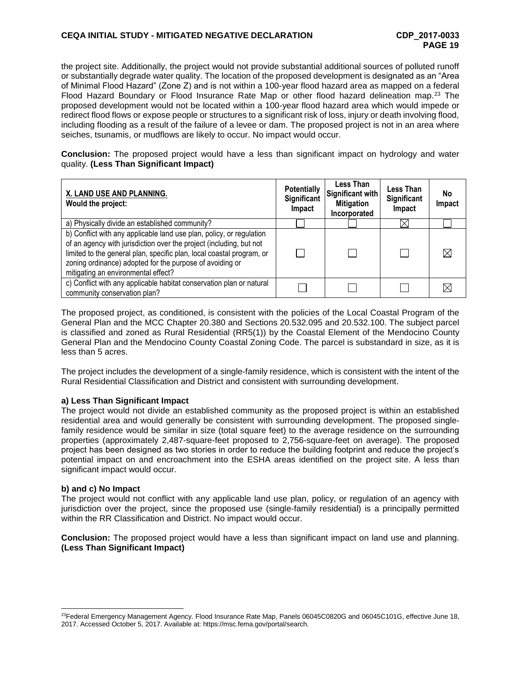## **CEQA INITIAL STUDY - MITIGATED NEGATIVE DECLARATION CDP\_2017-0033**

the project site. Additionally, the project would not provide substantial additional sources of polluted runoff or substantially degrade water quality. The location of the proposed development is designated as an "Area of Minimal Flood Hazard" (Zone Z) and is not within a 100-year flood hazard area as mapped on a federal Flood Hazard Boundary or Flood Insurance Rate Map or other flood hazard delineation map.<sup>23</sup> The proposed development would not be located within a 100-year flood hazard area which would impede or redirect flood flows or expose people or structures to a significant risk of loss, injury or death involving flood, including flooding as a result of the failure of a levee or dam. The proposed project is not in an area where seiches, tsunamis, or mudflows are likely to occur. No impact would occur.

**Conclusion:** The proposed project would have a less than significant impact on hydrology and water quality. **(Less Than Significant Impact)**

| X. LAND USE AND PLANNING.<br>Would the project:                                                                                                                                                                                                                                                                         | <b>Potentially</b><br><b>Significant</b><br>Impact | Less Than<br>Significant with<br><b>Mitigation</b><br>Incorporated | Less Than<br>Significant<br>Impact | No<br><b>Impact</b> |
|-------------------------------------------------------------------------------------------------------------------------------------------------------------------------------------------------------------------------------------------------------------------------------------------------------------------------|----------------------------------------------------|--------------------------------------------------------------------|------------------------------------|---------------------|
| a) Physically divide an established community?                                                                                                                                                                                                                                                                          |                                                    |                                                                    |                                    |                     |
| b) Conflict with any applicable land use plan, policy, or regulation<br>of an agency with jurisdiction over the project (including, but not<br>limited to the general plan, specific plan, local coastal program, or<br>zoning ordinance) adopted for the purpose of avoiding or<br>mitigating an environmental effect? |                                                    |                                                                    |                                    |                     |
| c) Conflict with any applicable habitat conservation plan or natural<br>community conservation plan?                                                                                                                                                                                                                    |                                                    |                                                                    |                                    |                     |

The proposed project, as conditioned, is consistent with the policies of the Local Coastal Program of the General Plan and the MCC Chapter 20.380 and Sections 20.532.095 and 20.532.100. The subject parcel is classified and zoned as Rural Residential (RR5(1)) by the Coastal Element of the Mendocino County General Plan and the Mendocino County Coastal Zoning Code. The parcel is substandard in size, as it is less than 5 acres.

The project includes the development of a single-family residence, which is consistent with the intent of the Rural Residential Classification and District and consistent with surrounding development.

### **a) Less Than Significant Impact**

The project would not divide an established community as the proposed project is within an established residential area and would generally be consistent with surrounding development. The proposed singlefamily residence would be similar in size (total square feet) to the average residence on the surrounding properties (approximately 2,487-square-feet proposed to 2,756-square-feet on average). The proposed project has been designed as two stories in order to reduce the building footprint and reduce the project's potential impact on and encroachment into the ESHA areas identified on the project site. A less than significant impact would occur.

### **b) and c) No Impact**

The project would not conflict with any applicable land use plan, policy, or regulation of an agency with jurisdiction over the project, since the proposed use (single-family residential) is a principally permitted within the RR Classification and District. No impact would occur.

**Conclusion:** The proposed project would have a less than significant impact on land use and planning. **(Less Than Significant Impact)**

l <sup>23</sup>Federal Emergency Management Agency, Flood Insurance Rate Map, Panels 06045C0820G and 06045C101G, effective June 18, 2017. Accessed October 5, 2017. Available at: https://msc.fema.gov/portal/search.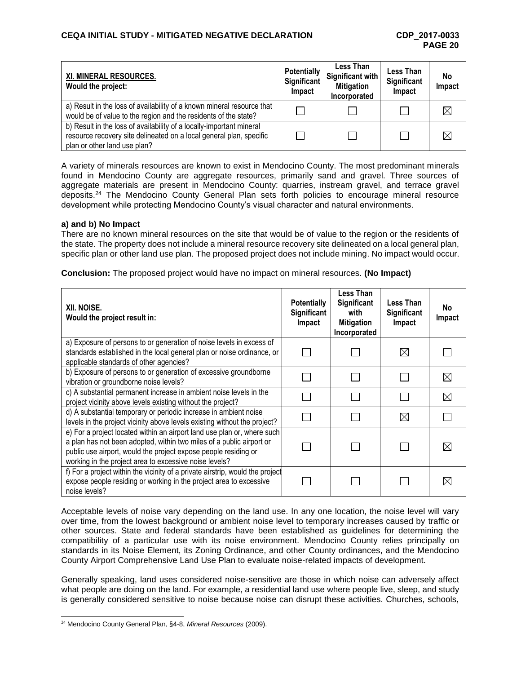| XI. MINERAL RESOURCES.<br>Would the project:                                                                                                                                | <b>Potentially</b><br>Significant<br>Impact | Less Than<br>Significant with<br><b>Mitigation</b><br>Incorporated | Less Than<br>Significant<br>Impact | No<br>Impact |
|-----------------------------------------------------------------------------------------------------------------------------------------------------------------------------|---------------------------------------------|--------------------------------------------------------------------|------------------------------------|--------------|
| a) Result in the loss of availability of a known mineral resource that<br>would be of value to the region and the residents of the state?                                   |                                             |                                                                    |                                    | $\bowtie$    |
| b) Result in the loss of availability of a locally-important mineral<br>resource recovery site delineated on a local general plan, specific<br>plan or other land use plan? | l a                                         |                                                                    |                                    | ⊠            |

A variety of minerals resources are known to exist in Mendocino County. The most predominant minerals found in Mendocino County are aggregate resources, primarily sand and gravel. Three sources of aggregate materials are present in Mendocino County: quarries, instream gravel, and terrace gravel deposits.<sup>24</sup> The Mendocino County General Plan sets forth policies to encourage mineral resource development while protecting Mendocino County's visual character and natural environments.

### **a) and b) No Impact**

There are no known mineral resources on the site that would be of value to the region or the residents of the state. The property does not include a mineral resource recovery site delineated on a local general plan, specific plan or other land use plan. The proposed project does not include mining. No impact would occur.

**Conclusion:** The proposed project would have no impact on mineral resources. **(No Impact)**

| XII. NOISE.<br>Would the project result in:                                                                                                                                                                                                                                  | <b>Potentially</b><br><b>Significant</b><br>Impact | Less Than<br><b>Significant</b><br>with<br><b>Mitigation</b><br>Incorporated | Less Than<br><b>Significant</b><br>Impact | No<br>Impact |
|------------------------------------------------------------------------------------------------------------------------------------------------------------------------------------------------------------------------------------------------------------------------------|----------------------------------------------------|------------------------------------------------------------------------------|-------------------------------------------|--------------|
| a) Exposure of persons to or generation of noise levels in excess of<br>standards established in the local general plan or noise ordinance, or<br>applicable standards of other agencies?                                                                                    |                                                    |                                                                              | $\boxtimes$                               |              |
| b) Exposure of persons to or generation of excessive groundborne<br>vibration or groundborne noise levels?                                                                                                                                                                   |                                                    |                                                                              |                                           | $\boxtimes$  |
| c) A substantial permanent increase in ambient noise levels in the<br>project vicinity above levels existing without the project?                                                                                                                                            |                                                    |                                                                              |                                           | ⋉            |
| d) A substantial temporary or periodic increase in ambient noise<br>levels in the project vicinity above levels existing without the project?                                                                                                                                |                                                    |                                                                              | ⊠                                         |              |
| e) For a project located within an airport land use plan or, where such<br>a plan has not been adopted, within two miles of a public airport or<br>public use airport, would the project expose people residing or<br>working in the project area to excessive noise levels? |                                                    |                                                                              |                                           |              |
| f) For a project within the vicinity of a private airstrip, would the project<br>expose people residing or working in the project area to excessive<br>noise levels?                                                                                                         |                                                    |                                                                              |                                           |              |

Acceptable levels of noise vary depending on the land use. In any one location, the noise level will vary over time, from the lowest background or ambient noise level to temporary increases caused by traffic or other sources. State and federal standards have been established as guidelines for determining the compatibility of a particular use with its noise environment. Mendocino County relies principally on standards in its Noise Element, its Zoning Ordinance, and other County ordinances, and the Mendocino County Airport Comprehensive Land Use Plan to evaluate noise-related impacts of development.

Generally speaking, land uses considered noise-sensitive are those in which noise can adversely affect what people are doing on the land. For example, a residential land use where people live, sleep, and study is generally considered sensitive to noise because noise can disrupt these activities. Churches, schools,

<sup>24</sup> Mendocino County General Plan, §4-8, *Mineral Resources* (2009).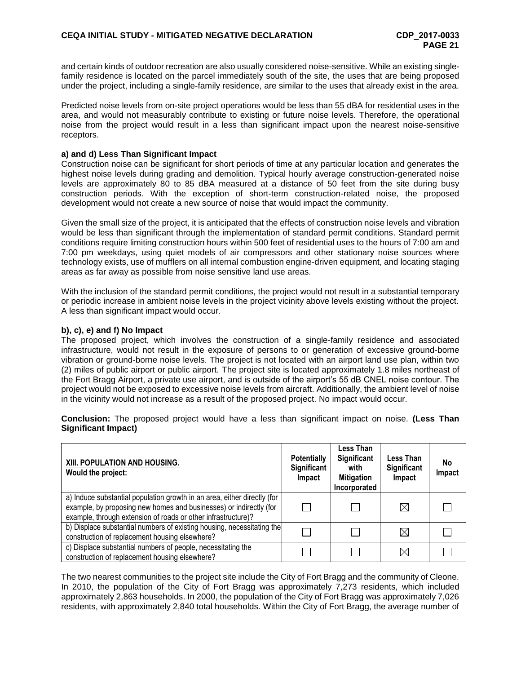and certain kinds of outdoor recreation are also usually considered noise-sensitive. While an existing singlefamily residence is located on the parcel immediately south of the site, the uses that are being proposed under the project, including a single-family residence, are similar to the uses that already exist in the area.

Predicted noise levels from on-site project operations would be less than 55 dBA for residential uses in the area, and would not measurably contribute to existing or future noise levels. Therefore, the operational noise from the project would result in a less than significant impact upon the nearest noise-sensitive receptors.

## **a) and d) Less Than Significant Impact**

Construction noise can be significant for short periods of time at any particular location and generates the highest noise levels during grading and demolition. Typical hourly average construction-generated noise levels are approximately 80 to 85 dBA measured at a distance of 50 feet from the site during busy construction periods. With the exception of short-term construction-related noise, the proposed development would not create a new source of noise that would impact the community.

Given the small size of the project, it is anticipated that the effects of construction noise levels and vibration would be less than significant through the implementation of standard permit conditions. Standard permit conditions require limiting construction hours within 500 feet of residential uses to the hours of 7:00 am and 7:00 pm weekdays, using quiet models of air compressors and other stationary noise sources where technology exists, use of mufflers on all internal combustion engine-driven equipment, and locating staging areas as far away as possible from noise sensitive land use areas.

With the inclusion of the standard permit conditions, the project would not result in a substantial temporary or periodic increase in ambient noise levels in the project vicinity above levels existing without the project. A less than significant impact would occur.

### **b), c), e) and f) No Impact**

The proposed project, which involves the construction of a single-family residence and associated infrastructure, would not result in the exposure of persons to or generation of excessive ground-borne vibration or ground-borne noise levels. The project is not located with an airport land use plan, within two (2) miles of public airport or public airport. The project site is located approximately 1.8 miles northeast of the Fort Bragg Airport, a private use airport, and is outside of the airport's 55 dB CNEL noise contour. The project would not be exposed to excessive noise levels from aircraft. Additionally, the ambient level of noise in the vicinity would not increase as a result of the proposed project. No impact would occur.

**Conclusion:** The proposed project would have a less than significant impact on noise. **(Less Than Significant Impact)**

| XIII. POPULATION AND HOUSING.<br>Would the project:                                                                                                                                                             | <b>Potentially</b><br>Significant<br>Impact | Less Than<br>Significant<br>with<br><b>Mitigation</b><br>Incorporated | <b>Less Than</b><br><b>Significant</b><br>Impact | No<br>Impact |
|-----------------------------------------------------------------------------------------------------------------------------------------------------------------------------------------------------------------|---------------------------------------------|-----------------------------------------------------------------------|--------------------------------------------------|--------------|
| a) Induce substantial population growth in an area, either directly (for<br>example, by proposing new homes and businesses) or indirectly (for<br>example, through extension of roads or other infrastructure)? |                                             |                                                                       | ⋉                                                |              |
| b) Displace substantial numbers of existing housing, necessitating the<br>construction of replacement housing elsewhere?                                                                                        |                                             |                                                                       |                                                  |              |
| c) Displace substantial numbers of people, necessitating the<br>construction of replacement housing elsewhere?                                                                                                  |                                             |                                                                       |                                                  |              |

The two nearest communities to the project site include the City of Fort Bragg and the community of Cleone. In 2010, the population of the City of Fort Bragg was approximately 7,273 residents, which included approximately 2,863 households. In 2000, the population of the City of Fort Bragg was approximately 7,026 residents, with approximately 2,840 total households. Within the City of Fort Bragg, the average number of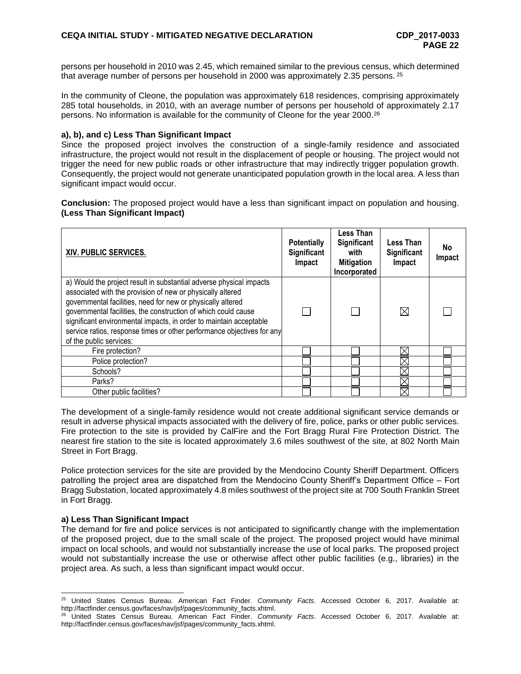persons per household in 2010 was 2.45, which remained similar to the previous census, which determined that average number of persons per household in 2000 was approximately 2.35 persons. <sup>25</sup>

In the community of Cleone, the population was approximately 618 residences, comprising approximately 285 total households, in 2010, with an average number of persons per household of approximately 2.17 persons. No information is available for the community of Cleone for the year 2000. 26

#### **a), b), and c) Less Than Significant Impact**

Since the proposed project involves the construction of a single-family residence and associated infrastructure, the project would not result in the displacement of people or housing. The project would not trigger the need for new public roads or other infrastructure that may indirectly trigger population growth. Consequently, the project would not generate unanticipated population growth in the local area. A less than significant impact would occur.

**Conclusion:** The proposed project would have a less than significant impact on population and housing. **(Less Than Significant Impact)**

| XIV. PUBLIC SERVICES.                                                                                                                                                                                                                                                                                                                                                                                                                         | <b>Potentially</b><br>Significant<br>Impact | <b>Less Than</b><br>Significant<br>with<br><b>Mitigation</b><br>Incorporated | Less Than<br><b>Significant</b><br>Impact | <b>No</b><br>Impact |
|-----------------------------------------------------------------------------------------------------------------------------------------------------------------------------------------------------------------------------------------------------------------------------------------------------------------------------------------------------------------------------------------------------------------------------------------------|---------------------------------------------|------------------------------------------------------------------------------|-------------------------------------------|---------------------|
| a) Would the project result in substantial adverse physical impacts<br>associated with the provision of new or physically altered<br>governmental facilities, need for new or physically altered<br>governmental facilities, the construction of which could cause<br>significant environmental impacts, in order to maintain acceptable<br>service ratios, response times or other performance objectives for any<br>of the public services: |                                             |                                                                              | ⊠                                         |                     |
| Fire protection?                                                                                                                                                                                                                                                                                                                                                                                                                              |                                             |                                                                              | ⊠                                         |                     |
| Police protection?                                                                                                                                                                                                                                                                                                                                                                                                                            |                                             |                                                                              |                                           |                     |
| Schools?                                                                                                                                                                                                                                                                                                                                                                                                                                      |                                             |                                                                              |                                           |                     |
| Parks?                                                                                                                                                                                                                                                                                                                                                                                                                                        |                                             |                                                                              |                                           |                     |
| Other public facilities?                                                                                                                                                                                                                                                                                                                                                                                                                      |                                             |                                                                              |                                           |                     |

The development of a single-family residence would not create additional significant service demands or result in adverse physical impacts associated with the delivery of fire, police, parks or other public services. Fire protection to the site is provided by CalFire and the Fort Bragg Rural Fire Protection District. The nearest fire station to the site is located approximately 3.6 miles southwest of the site, at 802 North Main Street in Fort Bragg.

Police protection services for the site are provided by the Mendocino County Sheriff Department. Officers patrolling the project area are dispatched from the Mendocino County Sheriff's Department Office – Fort Bragg Substation, located approximately 4.8 miles southwest of the project site at 700 South Franklin Street in Fort Bragg.

### **a) Less Than Significant Impact**

l

The demand for fire and police services is not anticipated to significantly change with the implementation of the proposed project, due to the small scale of the project. The proposed project would have minimal impact on local schools, and would not substantially increase the use of local parks. The proposed project would not substantially increase the use or otherwise affect other public facilities (e.g., libraries) in the project area. As such, a less than significant impact would occur.

<sup>25</sup> United States Census Bureau. American Fact Finder. *Community Facts*. Accessed October 6, 2017. Available at: [http://factfinder.census.gov/faces/nav/jsf/pages/community\\_facts.xhtml.](http://factfinder.census.gov/faces/nav/jsf/pages/community_facts.xhtml)

<sup>26</sup> United States Census Bureau. American Fact Finder. *Community Facts*. Accessed October 6, 2017. Available at: [http://factfinder.census.gov/faces/nav/jsf/pages/community\\_facts.xhtml.](http://factfinder.census.gov/faces/nav/jsf/pages/community_facts.xhtml)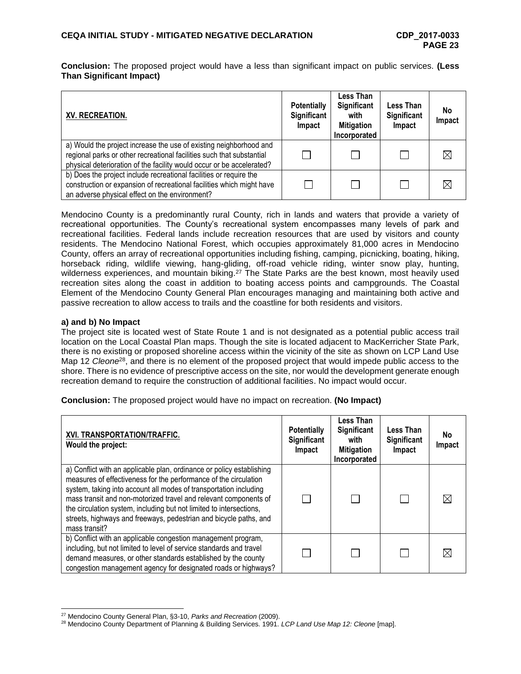**Conclusion:** The proposed project would have a less than significant impact on public services. **(Less Than Significant Impact)**

| XV. RECREATION.                                                                                                                                                                                                      | <b>Potentially</b><br>Significant<br>Impact | Less Than<br>Significant<br>with<br><b>Mitigation</b><br>Incorporated | Less Than<br>Significant<br>Impact | No<br>Impact |
|----------------------------------------------------------------------------------------------------------------------------------------------------------------------------------------------------------------------|---------------------------------------------|-----------------------------------------------------------------------|------------------------------------|--------------|
| a) Would the project increase the use of existing neighborhood and<br>regional parks or other recreational facilities such that substantial<br>physical deterioration of the facility would occur or be accelerated? |                                             |                                                                       |                                    |              |
| b) Does the project include recreational facilities or require the<br>construction or expansion of recreational facilities which might have<br>an adverse physical effect on the environment?                        |                                             |                                                                       |                                    |              |

Mendocino County is a predominantly rural County, rich in lands and waters that provide a variety of recreational opportunities. The County's recreational system encompasses many levels of park and recreational facilities. Federal lands include recreation resources that are used by visitors and county residents. The Mendocino National Forest, which occupies approximately 81,000 acres in Mendocino County, offers an array of recreational opportunities including fishing, camping, picnicking, boating, hiking, horseback riding, wildlife viewing, hang-gliding, off-road vehicle riding, winter snow play, hunting, wilderness experiences, and mountain biking.<sup>27</sup> The State Parks are the best known, most heavily used recreation sites along the coast in addition to boating access points and campgrounds. The Coastal Element of the Mendocino County General Plan encourages managing and maintaining both active and passive recreation to allow access to trails and the coastline for both residents and visitors.

### **a) and b) No Impact**

The project site is located west of State Route 1 and is not designated as a potential public access trail location on the Local Coastal Plan maps. Though the site is located adjacent to MacKerricher State Park, there is no existing or proposed shoreline access within the vicinity of the site as shown on LCP Land Use Map 12 *Cleone*<sup>28</sup>, and there is no element of the proposed project that would impede public access to the shore. There is no evidence of prescriptive access on the site, nor would the development generate enough recreation demand to require the construction of additional facilities. No impact would occur.

| XVI. TRANSPORTATION/TRAFFIC.<br>Would the project:                                                                                                                                                                                                                                                                                                                                                                                              | <b>Potentially</b><br>Significant<br>Impact | Less Than<br>Significant<br>with<br><b>Mitigation</b><br>Incorporated | Less Than<br><b>Significant</b><br>Impact | <b>No</b><br>Impact |
|-------------------------------------------------------------------------------------------------------------------------------------------------------------------------------------------------------------------------------------------------------------------------------------------------------------------------------------------------------------------------------------------------------------------------------------------------|---------------------------------------------|-----------------------------------------------------------------------|-------------------------------------------|---------------------|
| a) Conflict with an applicable plan, ordinance or policy establishing<br>measures of effectiveness for the performance of the circulation<br>system, taking into account all modes of transportation including<br>mass transit and non-motorized travel and relevant components of<br>the circulation system, including but not limited to intersections,<br>streets, highways and freeways, pedestrian and bicycle paths, and<br>mass transit? |                                             |                                                                       |                                           |                     |
| b) Conflict with an applicable congestion management program,<br>including, but not limited to level of service standards and travel<br>demand measures, or other standards established by the county<br>congestion management agency for designated roads or highways?                                                                                                                                                                         |                                             |                                                                       |                                           |                     |

**Conclusion:** The proposed project would have no impact on recreation. **(No Impact)**

l <sup>27</sup> Mendocino County General Plan, §3-10, *Parks and Recreation* (2009).

<sup>28</sup> Mendocino County Department of Planning & Building Services. 1991. *LCP Land Use Map 12: Cleone* [map].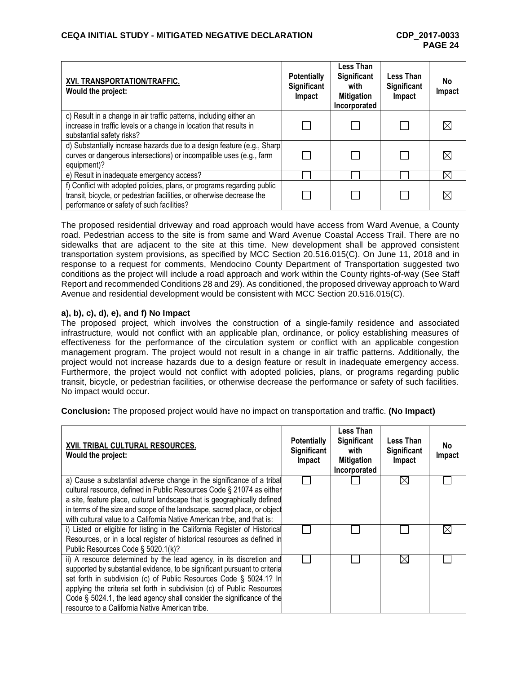| XVI. TRANSPORTATION/TRAFFIC.<br>Would the project:                                                                                                                                           | <b>Potentially</b><br>Significant<br>Impact | Less Than<br>Significant<br>with<br><b>Mitigation</b><br>Incorporated | Less Than<br>Significant<br>Impact | <b>No</b><br>Impact |
|----------------------------------------------------------------------------------------------------------------------------------------------------------------------------------------------|---------------------------------------------|-----------------------------------------------------------------------|------------------------------------|---------------------|
| c) Result in a change in air traffic patterns, including either an<br>increase in traffic levels or a change in location that results in<br>substantial safety risks?                        |                                             |                                                                       |                                    |                     |
| d) Substantially increase hazards due to a design feature (e.g., Sharp)<br>curves or dangerous intersections) or incompatible uses (e.g., farm<br>equipment)?                                |                                             |                                                                       |                                    |                     |
| e) Result in inadequate emergency access?                                                                                                                                                    |                                             |                                                                       |                                    | ⋉                   |
| f) Conflict with adopted policies, plans, or programs regarding public<br>transit, bicycle, or pedestrian facilities, or otherwise decrease the<br>performance or safety of such facilities? |                                             |                                                                       |                                    |                     |

The proposed residential driveway and road approach would have access from Ward Avenue, a County road. Pedestrian access to the site is from same and Ward Avenue Coastal Access Trail. There are no sidewalks that are adjacent to the site at this time. New development shall be approved consistent transportation system provisions, as specified by MCC Section 20.516.015(C). On June 11, 2018 and in response to a request for comments, Mendocino County Department of Transportation suggested two conditions as the project will include a road approach and work within the County rights-of-way (See Staff Report and recommended Conditions 28 and 29). As conditioned, the proposed driveway approach to Ward Avenue and residential development would be consistent with MCC Section 20.516.015(C).

## **a), b), c), d), e), and f) No Impact**

The proposed project, which involves the construction of a single-family residence and associated infrastructure, would not conflict with an applicable plan, ordinance, or policy establishing measures of effectiveness for the performance of the circulation system or conflict with an applicable congestion management program. The project would not result in a change in air traffic patterns. Additionally, the project would not increase hazards due to a design feature or result in inadequate emergency access. Furthermore, the project would not conflict with adopted policies, plans, or programs regarding public transit, bicycle, or pedestrian facilities, or otherwise decrease the performance or safety of such facilities. No impact would occur.

**Conclusion:** The proposed project would have no impact on transportation and traffic. **(No Impact)**

| XVII. TRIBAL CULTURAL RESOURCES.<br>Would the project:                                                                                                                                                                                                                                                                                                                     | <b>Potentially</b><br><b>Significant</b><br>Impact | Less Than<br>Significant<br>with<br><b>Mitigation</b><br>Incorporated | Less Than<br>Significant<br>Impact | No<br>Impact |
|----------------------------------------------------------------------------------------------------------------------------------------------------------------------------------------------------------------------------------------------------------------------------------------------------------------------------------------------------------------------------|----------------------------------------------------|-----------------------------------------------------------------------|------------------------------------|--------------|
| a) Cause a substantial adverse change in the significance of a tribal                                                                                                                                                                                                                                                                                                      |                                                    |                                                                       | IXI                                |              |
| cultural resource, defined in Public Resources Code § 21074 as either<br>a site, feature place, cultural landscape that is geographically defined                                                                                                                                                                                                                          |                                                    |                                                                       |                                    |              |
| in terms of the size and scope of the landscape, sacred place, or object<br>with cultural value to a California Native American tribe, and that is:                                                                                                                                                                                                                        |                                                    |                                                                       |                                    |              |
| i) Listed or eligible for listing in the California Register of Historical                                                                                                                                                                                                                                                                                                 |                                                    |                                                                       |                                    |              |
| Resources, or in a local register of historical resources as defined in                                                                                                                                                                                                                                                                                                    |                                                    |                                                                       |                                    |              |
| Public Resources Code § 5020.1(k)?                                                                                                                                                                                                                                                                                                                                         |                                                    |                                                                       |                                    |              |
| ii) A resource determined by the lead agency, in its discretion and<br>supported by substantial evidence, to be significant pursuant to criterial<br>set forth in subdivision (c) of Public Resources Code § 5024.1? In<br>applying the criteria set forth in subdivision (c) of Public Resources<br>Code § 5024.1, the lead agency shall consider the significance of the |                                                    |                                                                       |                                    |              |
| resource to a California Native American tribe.                                                                                                                                                                                                                                                                                                                            |                                                    |                                                                       |                                    |              |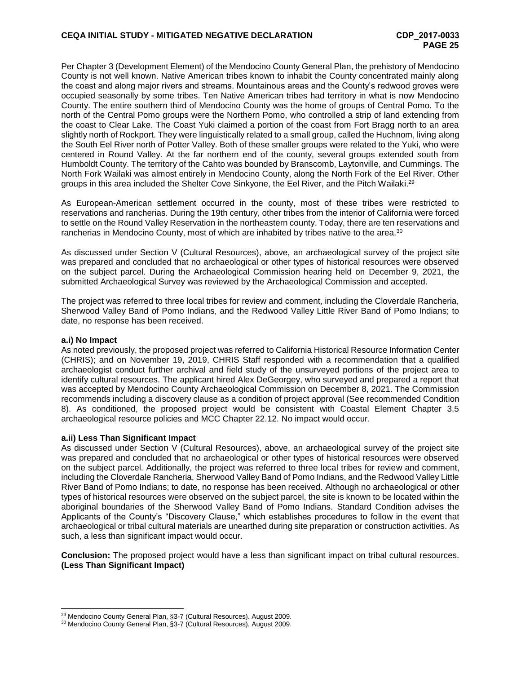Per Chapter 3 (Development Element) of the Mendocino County General Plan, the prehistory of Mendocino County is not well known. Native American tribes known to inhabit the County concentrated mainly along the coast and along major rivers and streams. Mountainous areas and the County's redwood groves were occupied seasonally by some tribes. Ten Native American tribes had territory in what is now Mendocino County. The entire southern third of Mendocino County was the home of groups of Central Pomo. To the north of the Central Pomo groups were the Northern Pomo, who controlled a strip of land extending from the coast to Clear Lake. The Coast Yuki claimed a portion of the coast from Fort Bragg north to an area slightly north of Rockport. They were linguistically related to a small group, called the Huchnom, living along the South Eel River north of Potter Valley. Both of these smaller groups were related to the Yuki, who were centered in Round Valley. At the far northern end of the county, several groups extended south from Humboldt County. The territory of the Cahto was bounded by Branscomb, Laytonville, and Cummings. The North Fork Wailaki was almost entirely in Mendocino County, along the North Fork of the Eel River. Other groups in this area included the Shelter Cove Sinkyone, the Eel River, and the Pitch Wailaki.<sup>29</sup>

As European-American settlement occurred in the county, most of these tribes were restricted to reservations and rancherias. During the 19th century, other tribes from the interior of California were forced to settle on the Round Valley Reservation in the northeastern county. Today, there are ten reservations and rancherias in Mendocino County, most of which are inhabited by tribes native to the area.<sup>30</sup>

As discussed under Section V (Cultural Resources), above, an archaeological survey of the project site was prepared and concluded that no archaeological or other types of historical resources were observed on the subject parcel. During the Archaeological Commission hearing held on December 9, 2021, the submitted Archaeological Survey was reviewed by the Archaeological Commission and accepted.

The project was referred to three local tribes for review and comment, including the Cloverdale Rancheria, Sherwood Valley Band of Pomo Indians, and the Redwood Valley Little River Band of Pomo Indians; to date, no response has been received.

#### **a.i) No Impact**

As noted previously, the proposed project was referred to California Historical Resource Information Center (CHRIS); and on November 19, 2019, CHRIS Staff responded with a recommendation that a qualified archaeologist conduct further archival and field study of the unsurveyed portions of the project area to identify cultural resources. The applicant hired Alex DeGeorgey, who surveyed and prepared a report that was accepted by Mendocino County Archaeological Commission on December 8, 2021. The Commission recommends including a discovery clause as a condition of project approval (See recommended Condition 8). As conditioned, the proposed project would be consistent with Coastal Element Chapter 3.5 archaeological resource policies and MCC Chapter 22.12. No impact would occur.

#### **a.ii) Less Than Significant Impact**

As discussed under Section V (Cultural Resources), above, an archaeological survey of the project site was prepared and concluded that no archaeological or other types of historical resources were observed on the subject parcel. Additionally, the project was referred to three local tribes for review and comment, including the Cloverdale Rancheria, Sherwood Valley Band of Pomo Indians, and the Redwood Valley Little River Band of Pomo Indians; to date, no response has been received. Although no archaeological or other types of historical resources were observed on the subject parcel, the site is known to be located within the aboriginal boundaries of the Sherwood Valley Band of Pomo Indians. Standard Condition advises the Applicants of the County's "Discovery Clause," which establishes procedures to follow in the event that archaeological or tribal cultural materials are unearthed during site preparation or construction activities. As such, a less than significant impact would occur.

**Conclusion:** The proposed project would have a less than significant impact on tribal cultural resources. **(Less Than Significant Impact)**

l <sup>29</sup> Mendocino County General Plan, §3-7 (Cultural Resources). August 2009.

<sup>30</sup> Mendocino County General Plan, §3-7 (Cultural Resources). August 2009.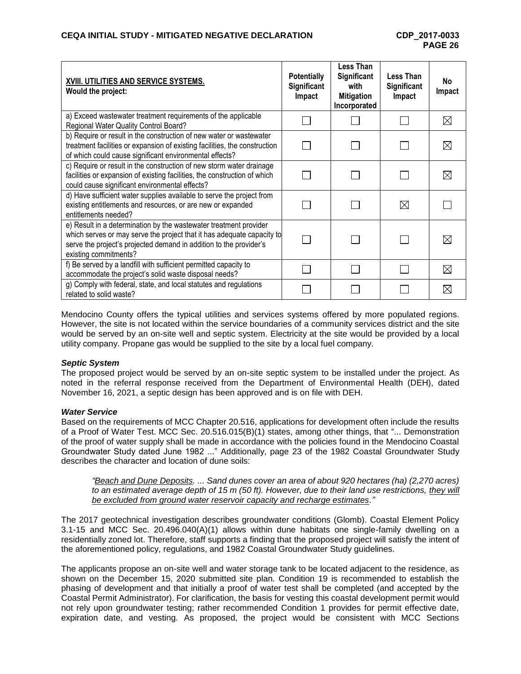| XVIII. UTILITIES AND SERVICE SYSTEMS.<br>Would the project:                                                                                                                                                                                | <b>Potentially</b><br>Significant<br>Impact | <b>Less Than</b><br>Significant<br>with<br><b>Mitigation</b><br>Incorporated | Less Than<br><b>Significant</b><br>Impact | No<br>Impact |
|--------------------------------------------------------------------------------------------------------------------------------------------------------------------------------------------------------------------------------------------|---------------------------------------------|------------------------------------------------------------------------------|-------------------------------------------|--------------|
| a) Exceed wastewater treatment requirements of the applicable<br>Regional Water Quality Control Board?                                                                                                                                     |                                             |                                                                              |                                           | $\boxtimes$  |
| b) Require or result in the construction of new water or wastewater<br>treatment facilities or expansion of existing facilities, the construction<br>of which could cause significant environmental effects?                               |                                             |                                                                              |                                           | $\boxtimes$  |
| c) Require or result in the construction of new storm water drainage<br>facilities or expansion of existing facilities, the construction of which<br>could cause significant environmental effects?                                        |                                             |                                                                              |                                           | ⊠            |
| d) Have sufficient water supplies available to serve the project from<br>existing entitlements and resources, or are new or expanded<br>entitlements needed?                                                                               |                                             |                                                                              | $\bowtie$                                 |              |
| e) Result in a determination by the wastewater treatment provider<br>which serves or may serve the project that it has adequate capacity to<br>serve the project's projected demand in addition to the provider's<br>existing commitments? |                                             |                                                                              |                                           | IX           |
| f) Be served by a landfill with sufficient permitted capacity to<br>accommodate the project's solid waste disposal needs?                                                                                                                  |                                             |                                                                              |                                           | $\boxtimes$  |
| g) Comply with federal, state, and local statutes and regulations<br>related to solid waste?                                                                                                                                               |                                             |                                                                              |                                           | ⋉            |

Mendocino County offers the typical utilities and services systems offered by more populated regions. However, the site is not located within the service boundaries of a community services district and the site would be served by an on-site well and septic system. Electricity at the site would be provided by a local utility company. Propane gas would be supplied to the site by a local fuel company.

### *Septic System*

The proposed project would be served by an on-site septic system to be installed under the project. As noted in the referral response received from the Department of Environmental Health (DEH), dated November 16, 2021, a septic design has been approved and is on file with DEH.

### *Water Service*

Based on the requirements of MCC Chapter 20.516, applications for development often include the results of a Proof of Water Test. MCC Sec. 20.516.015(B)(1) states, among other things, that "... Demonstration of the proof of water supply shall be made in accordance with the policies found in the Mendocino Coastal Groundwater Study dated June 1982 ..." Additionally, page 23 of the 1982 Coastal Groundwater Study describes the character and location of dune soils:

*"Beach and Dune Deposits. ... Sand dunes cover an area of about 920 hectares (ha) (2,270 acres)*  to an estimated average depth of 15 m (50 ft). However, due to their land use restrictions, they will *be excluded from ground water reservoir capacity and recharge estimates."*

The 2017 geotechnical investigation describes groundwater conditions (Glomb). Coastal Element Policy 3.1-15 and MCC Sec. 20.496.040(A)(1) allows within dune habitats one single-family dwelling on a residentially zoned lot. Therefore, staff supports a finding that the proposed project will satisfy the intent of the aforementioned policy, regulations, and 1982 Coastal Groundwater Study guidelines.

The applicants propose an on-site well and water storage tank to be located adjacent to the residence, as shown on the December 15, 2020 submitted site plan. Condition 19 is recommended to establish the phasing of development and that initially a proof of water test shall be completed (and accepted by the Coastal Permit Administrator). For clarification, the basis for vesting this coastal development permit would not rely upon groundwater testing; rather recommended Condition 1 provides for permit effective date, expiration date, and vesting. As proposed, the project would be consistent with MCC Sections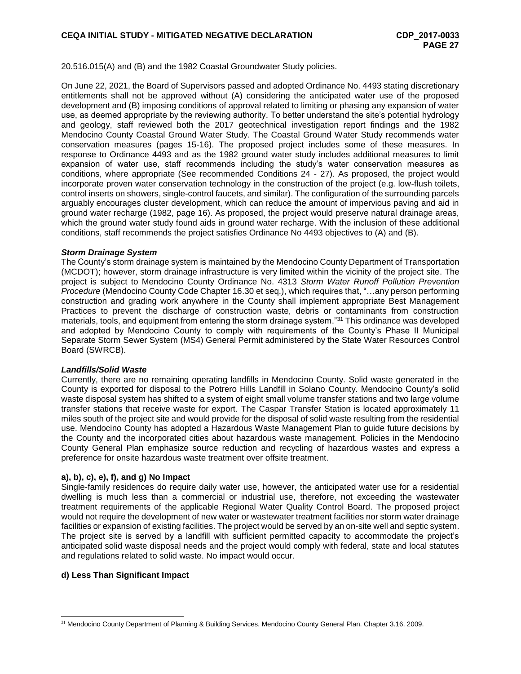20.516.015(A) and (B) and the 1982 Coastal Groundwater Study policies.

On June 22, 2021, the Board of Supervisors passed and adopted Ordinance No. 4493 stating discretionary entitlements shall not be approved without (A) considering the anticipated water use of the proposed development and (B) imposing conditions of approval related to limiting or phasing any expansion of water use, as deemed appropriate by the reviewing authority. To better understand the site's potential hydrology and geology, staff reviewed both the 2017 geotechnical investigation report findings and the 1982 Mendocino County Coastal Ground Water Study. The Coastal Ground Water Study recommends water conservation measures (pages 15-16). The proposed project includes some of these measures. In response to Ordinance 4493 and as the 1982 ground water study includes additional measures to limit expansion of water use, staff recommends including the study's water conservation measures as conditions, where appropriate (See recommended Conditions 24 - 27). As proposed, the project would incorporate proven water conservation technology in the construction of the project (e.g. low-flush toilets, control inserts on showers, single-control faucets, and similar). The configuration of the surrounding parcels arguably encourages cluster development, which can reduce the amount of impervious paving and aid in ground water recharge (1982, page 16). As proposed, the project would preserve natural drainage areas, which the ground water study found aids in ground water recharge. With the inclusion of these additional conditions, staff recommends the project satisfies Ordinance No 4493 objectives to (A) and (B).

### *Storm Drainage System*

The County's storm drainage system is maintained by the Mendocino County Department of Transportation (MCDOT); however, storm drainage infrastructure is very limited within the vicinity of the project site. The project is subject to Mendocino County Ordinance No. 4313 *Storm Water Runoff Pollution Prevention Procedure* (Mendocino County Code Chapter 16.30 et seq.), which requires that, "…any person performing construction and grading work anywhere in the County shall implement appropriate Best Management Practices to prevent the discharge of construction waste, debris or contaminants from construction materials, tools, and equipment from entering the storm drainage system."<sup>31</sup> This ordinance was developed and adopted by Mendocino County to comply with requirements of the County's Phase II Municipal Separate Storm Sewer System (MS4) General Permit administered by the State Water Resources Control Board (SWRCB).

#### *Landfills/Solid Waste*

Currently, there are no remaining operating landfills in Mendocino County. Solid waste generated in the County is exported for disposal to the Potrero Hills Landfill in Solano County. Mendocino County's solid waste disposal system has shifted to a system of eight small volume transfer stations and two large volume transfer stations that receive waste for export. The Caspar Transfer Station is located approximately 11 miles south of the project site and would provide for the disposal of solid waste resulting from the residential use. Mendocino County has adopted a Hazardous Waste Management Plan to guide future decisions by the County and the incorporated cities about hazardous waste management. Policies in the Mendocino County General Plan emphasize source reduction and recycling of hazardous wastes and express a preference for onsite hazardous waste treatment over offsite treatment.

### **a), b), c), e), f), and g) No Impact**

Single-family residences do require daily water use, however, the anticipated water use for a residential dwelling is much less than a commercial or industrial use, therefore, not exceeding the wastewater treatment requirements of the applicable Regional Water Quality Control Board. The proposed project would not require the development of new water or wastewater treatment facilities nor storm water drainage facilities or expansion of existing facilities. The project would be served by an on-site well and septic system. The project site is served by a landfill with sufficient permitted capacity to accommodate the project's anticipated solid waste disposal needs and the project would comply with federal, state and local statutes and regulations related to solid waste. No impact would occur.

### **d) Less Than Significant Impact**

<sup>&</sup>lt;sup>31</sup> Mendocino County Department of Planning & Building Services. Mendocino County General Plan. Chapter 3.16. 2009.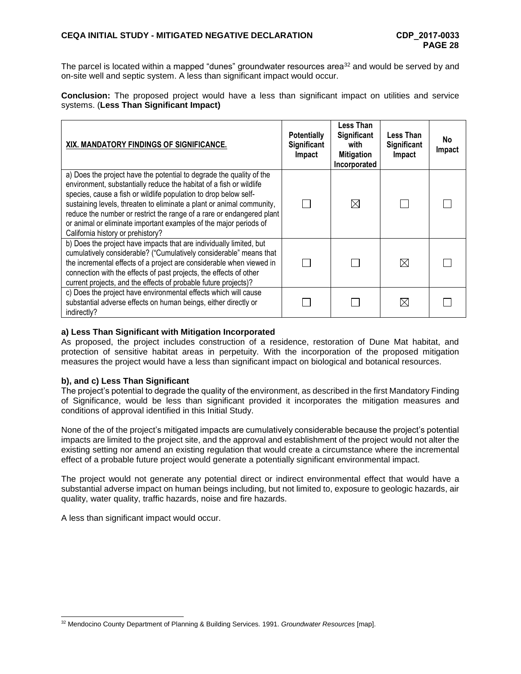The parcel is located within a mapped "dunes" groundwater resources area<sup>32</sup> and would be served by and on-site well and septic system. A less than significant impact would occur.

**Conclusion:** The proposed project would have a less than significant impact on utilities and service systems. (**Less Than Significant Impact)**

| XIX. MANDATORY FINDINGS OF SIGNIFICANCE.                                                                                                                                                                                                                                                                                                                                                                                                                                    | <b>Potentially</b><br>Significant<br>Impact | Less Than<br>Significant<br>with<br><b>Mitigation</b><br>Incorporated | Less Than<br>Significant<br>Impact | No.<br>Impact |
|-----------------------------------------------------------------------------------------------------------------------------------------------------------------------------------------------------------------------------------------------------------------------------------------------------------------------------------------------------------------------------------------------------------------------------------------------------------------------------|---------------------------------------------|-----------------------------------------------------------------------|------------------------------------|---------------|
| a) Does the project have the potential to degrade the quality of the<br>environment, substantially reduce the habitat of a fish or wildlife<br>species, cause a fish or wildlife population to drop below self-<br>sustaining levels, threaten to eliminate a plant or animal community,<br>reduce the number or restrict the range of a rare or endangered plant<br>or animal or eliminate important examples of the major periods of<br>California history or prehistory? |                                             | ⊠                                                                     |                                    |               |
| b) Does the project have impacts that are individually limited, but<br>cumulatively considerable? ("Cumulatively considerable" means that<br>the incremental effects of a project are considerable when viewed in<br>connection with the effects of past projects, the effects of other<br>current projects, and the effects of probable future projects)?                                                                                                                  |                                             |                                                                       | $\boxtimes$                        |               |
| c) Does the project have environmental effects which will cause<br>substantial adverse effects on human beings, either directly or<br>indirectly?                                                                                                                                                                                                                                                                                                                           |                                             |                                                                       | ⊠                                  |               |

## **a) Less Than Significant with Mitigation Incorporated**

As proposed, the project includes construction of a residence, restoration of Dune Mat habitat, and protection of sensitive habitat areas in perpetuity. With the incorporation of the proposed mitigation measures the project would have a less than significant impact on biological and botanical resources.

### **b), and c) Less Than Significant**

The project's potential to degrade the quality of the environment, as described in the first Mandatory Finding of Significance, would be less than significant provided it incorporates the mitigation measures and conditions of approval identified in this Initial Study.

None of the of the project's mitigated impacts are cumulatively considerable because the project's potential impacts are limited to the project site, and the approval and establishment of the project would not alter the existing setting nor amend an existing regulation that would create a circumstance where the incremental effect of a probable future project would generate a potentially significant environmental impact.

The project would not generate any potential direct or indirect environmental effect that would have a substantial adverse impact on human beings including, but not limited to, exposure to geologic hazards, air quality, water quality, traffic hazards, noise and fire hazards.

A less than significant impact would occur.

<sup>32</sup> Mendocino County Department of Planning & Building Services. 1991. *Groundwater Resources* [map].